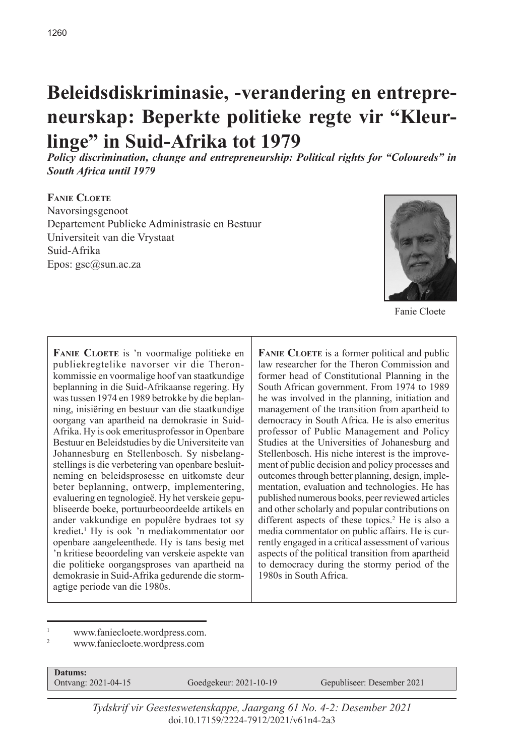# **Beleidsdiskriminasie, -verandering en entrepreneurskap: Beperkte politieke regte vir "Kleurlinge" in Suid-Afrika tot 1979**

*Policy discrimination, change and entrepreneurship: Political rights for "Coloureds" in South Africa until 1979*

# **Fanie Cloete** Navorsingsgenoot Departement Publieke Administrasie en Bestuur Universiteit van die Vrystaat Suid-Afrika Epos: gsc@sun.ac.za



Fanie Cloete

FANIE CLOETE is 'n voormalige politieke en publiekregtelike navorser vir die Theronkommissie en voormalige hoof van staatkundige beplanning in die Suid-Afrikaanse regering. Hy was tussen 1974 en 1989 betrokke by die beplanning, inisiëring en bestuur van die staatkundige oorgang van apartheid na demokrasie in Suid-Afrika. Hy is ook emeritusprofessor in Openbare Bestuur en Beleidstudies by die Universiteite van Johannesburg en Stellenbosch. Sy nisbelangstellings is die verbetering van openbare besluitneming en beleidsprosesse en uitkomste deur beter beplanning, ontwerp, implementering, evaluering en tegnologieë. Hy het verskeie gepubliseerde boeke, portuurbeoordeelde artikels en ander vakkundige en populêre bydraes tot sy krediet.<sup>1</sup> Hy is ook 'n mediakommentator oor openbare aangeleenthede. Hy is tans besig met 'n kritiese beoordeling van verskeie aspekte van die politieke oorgangsproses van apartheid na demokrasie in Suid-Afrika gedurende die stormagtige periode van die 1980s.

**FANIE CLOETE** is a former political and public law researcher for the Theron Commission and former head of Constitutional Planning in the South African government. From 1974 to 1989 he was involved in the planning, initiation and management of the transition from apartheid to democracy in South Africa. He is also emeritus professor of Public Management and Policy Studies at the Universities of Johanesburg and Stellenbosch. His niche interest is the improvement of public decision and policy processes and outcomes through better planning, design, implementation, evaluation and technologies. He has published numerous books, peer reviewed articles and other scholarly and popular contributions on different aspects of these topics.<sup>2</sup> He is also a media commentator on public affairs. He is currently engaged in a critical assessment of various aspects of the political transition from apartheid to democracy during the stormy period of the 1980s in South Africa.

- www.faniecloete.wordpress.com.
- <sup>2</sup> www.faniecloete.wordpress.com

**Datums:**<br>Ontvang: 2021-04-15

Goedgekeur: 2021-10-19 Gepubliseer: Desember 2021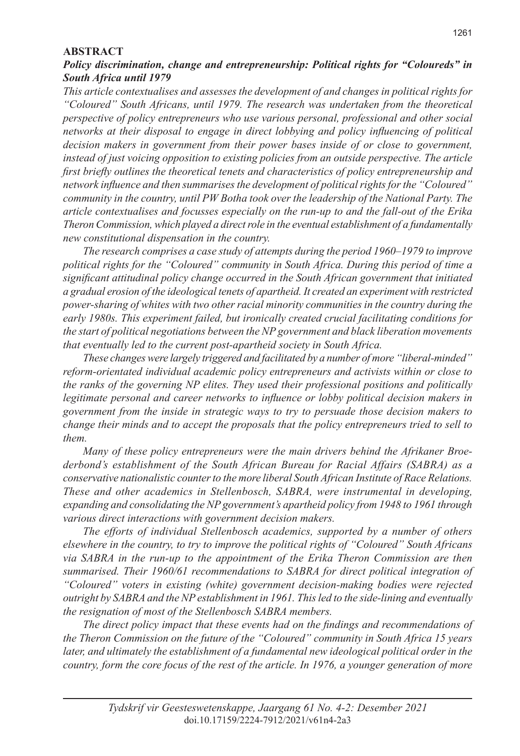#### **ABSTRACT**

#### *Policy discrimination, change and entrepreneurship: Political rights for "Coloureds" in South Africa until 1979*

*This article contextualises and assesses the development of and changes in political rights for "Coloured" South Africans, until 1979. The research was undertaken from the theoretical perspective of policy entrepreneurs who use various personal, professional and other social networks at their disposal to engage in direct lobbying and policy influencing of political decision makers in government from their power bases inside of or close to government, instead of just voicing opposition to existing policies from an outside perspective. The article first briefly outlines the theoretical tenets and characteristics of policy entrepreneurship and network influence and then summarises the development of political rights for the "Coloured" community in the country, until PW Botha took over the leadership of the National Party. The article contextualises and focusses especially on the run-up to and the fall-out of the Erika Theron Commission, which played a direct role in the eventual establishment of a fundamentally new constitutional dispensation in the country.* 

*The research comprises a case study of attempts during the period 1960–1979 to improve political rights for the "Coloured" community in South Africa. During this period of time a significant attitudinal policy change occurred in the South African government that initiated a gradual erosion of the ideological tenets of apartheid. It created an experiment with restricted power-sharing of whites with two other racial minority communities in the country during the early 1980s. This experiment failed, but ironically created crucial facilitating conditions for the start of political negotiations between the NP government and black liberation movements that eventually led to the current post-apartheid society in South Africa.* 

*These changes were largely triggered and facilitated by a number of more "liberal-minded" reform-orientated individual academic policy entrepreneurs and activists within or close to the ranks of the governing NP elites. They used their professional positions and politically legitimate personal and career networks to influence or lobby political decision makers in government from the inside in strategic ways to try to persuade those decision makers to change their minds and to accept the proposals that the policy entrepreneurs tried to sell to them.* 

*Many of these policy entrepreneurs were the main drivers behind the Afrikaner Broederbond's establishment of the South African Bureau for Racial Affairs (SABRA) as a conservative nationalistic counter to the more liberal South African Institute of Race Relations. These and other academics in Stellenbosch, SABRA, were instrumental in developing, expanding and consolidating the NP government's apartheid policy from 1948 to 1961 through various direct interactions with government decision makers.* 

*The efforts of individual Stellenbosch academics, supported by a number of others elsewhere in the country, to try to improve the political rights of "Coloured" South Africans via SABRA in the run-up to the appointment of the Erika Theron Commission are then summarised. Their 1960/61 recommendations to SABRA for direct political integration of "Coloured" voters in existing (white) government decision-making bodies were rejected outright by SABRA and the NP establishment in 1961. This led to the side-lining and eventually the resignation of most of the Stellenbosch SABRA members.* 

*The direct policy impact that these events had on the findings and recommendations of the Theron Commission on the future of the "Coloured" community in South Africa 15 years*  later, and ultimately the establishment of a fundamental new ideological political order in the *country, form the core focus of the rest of the article. In 1976, a younger generation of more*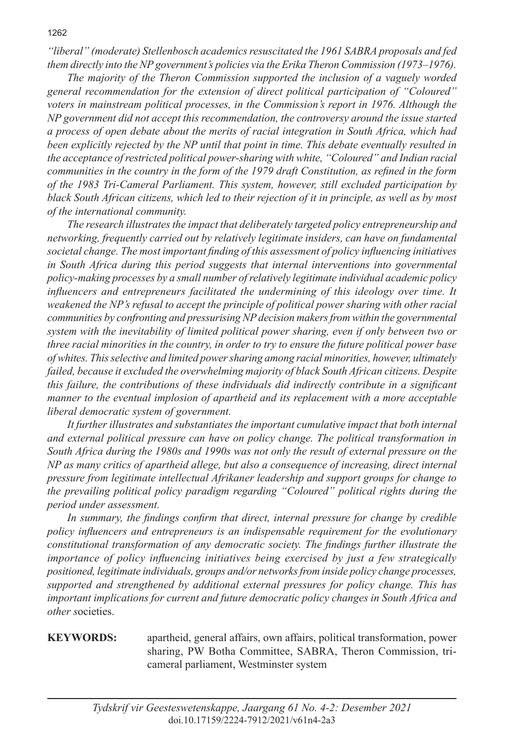*"liberal" (moderate) Stellenbosch academics resuscitated the 1961 SABRA proposals and fed them directly into the NP government's policies via the Erika Theron Commission (1973–1976).* 

*The majority of the Theron Commission supported the inclusion of a vaguely worded general recommendation for the extension of direct political participation of "Coloured" voters in mainstream political processes, in the Commission's report in 1976. Although the NP government did not accept this recommendation, the controversy around the issue started a process of open debate about the merits of racial integration in South Africa, which had been explicitly rejected by the NP until that point in time. This debate eventually resulted in the acceptance of restricted political power-sharing with white, "Coloured" and Indian racial communities in the country in the form of the 1979 draft Constitution, as refined in the form of the 1983 Tri-Cameral Parliament. This system, however, still excluded participation by black South African citizens, which led to their rejection of it in principle, as well as by most of the international community.* 

*The research illustrates the impact that deliberately targeted policy entrepreneurship and networking, frequently carried out by relatively legitimate insiders, can have on fundamental societal change. The most important finding of this assessment of policy influencing initiatives in South Africa during this period suggests that internal interventions into governmental policy-making processes by a small number of relatively legitimate individual academic policy influencers and entrepreneurs facilitated the undermining of this ideology over time. It weakened the NP's refusal to accept the principle of political power sharing with other racial communities by confronting and pressurising NP decision makers from within the governmental system with the inevitability of limited political power sharing, even if only between two or three racial minorities in the country, in order to try to ensure the future political power base of whites. This selective and limited power sharing among racial minorities, however, ultimately failed, because it excluded the overwhelming majority of black South African citizens. Despite this failure, the contributions of these individuals did indirectly contribute in a significant manner to the eventual implosion of apartheid and its replacement with a more acceptable liberal democratic system of government.*

*It further illustrates and substantiates the important cumulative impact that both internal and external political pressure can have on policy change. The political transformation in South Africa during the 1980s and 1990s was not only the result of external pressure on the NP as many critics of apartheid allege, but also a consequence of increasing, direct internal pressure from legitimate intellectual Afrikaner leadership and support groups for change to the prevailing political policy paradigm regarding "Coloured" political rights during the period under assessment.* 

*In summary, the findings confirm that direct, internal pressure for change by credible policy influencers and entrepreneurs is an indispensable requirement for the evolutionary constitutional transformation of any democratic society. The findings further illustrate the importance of policy influencing initiatives being exercised by just a few strategically positioned, legitimate individuals, groups and/or networks from inside policy change processes, supported and strengthened by additional external pressures for policy change. This has important implications for current and future democratic policy changes in South Africa and other s*ocieties.

**KEYWORDS:** apartheid, general affairs, own affairs, political transformation, power sharing, PW Botha Committee, SABRA, Theron Commission, tricameral parliament, Westminster system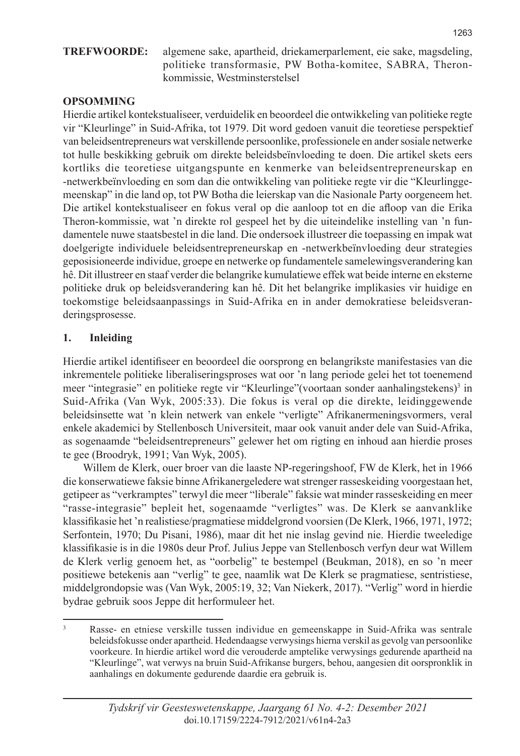**TREFWOORDE:** algemene sake, apartheid, driekamerparlement, eie sake, magsdeling, politieke transformasie, PW Botha-komitee, SABRA, Theronkommissie, Westminsterstelsel

# **OPSOMMING**

Hierdie artikel kontekstualiseer, verduidelik en beoordeel die ontwikkeling van politieke regte vir "Kleurlinge" in Suid-Afrika, tot 1979. Dit word gedoen vanuit die teoretiese perspektief van beleidsentrepreneurs wat verskillende persoonlike, professionele en ander sosiale netwerke tot hulle beskikking gebruik om direkte beleidsbeïnvloeding te doen. Die artikel skets eers kortliks die teoretiese uitgangspunte en kenmerke van beleidsentrepreneurskap en -netwerkbeïnvloeding en som dan die ontwikkeling van politieke regte vir die "Kleurlinggemeenskap" in die land op, tot PW Botha die leierskap van die Nasionale Party oorgeneem het. Die artikel kontekstualiseer en fokus veral op die aanloop tot en die afloop van die Erika Theron-kommissie, wat 'n direkte rol gespeel het by die uiteindelike instelling van 'n fundamentele nuwe staatsbestel in die land. Die ondersoek illustreer die toepassing en impak wat doelgerigte individuele beleidsentrepreneurskap en -netwerkbeïnvloeding deur strategies geposisioneerde individue, groepe en netwerke op fundamentele samelewingsverandering kan hê. Dit illustreer en staaf verder die belangrike kumulatiewe effek wat beide interne en eksterne politieke druk op beleidsverandering kan hê. Dit het belangrike implikasies vir huidige en toekomstige beleidsaanpassings in Suid-Afrika en in ander demokratiese beleidsveranderingsprosesse.

# **1. Inleiding**

Hierdie artikel identifiseer en beoordeel die oorsprong en belangrikste manifestasies van die inkrementele politieke liberaliseringsproses wat oor 'n lang periode gelei het tot toenemend meer "integrasie" en politieke regte vir "Kleurlinge" (voortaan sonder aanhalingstekens) in Suid-Afrika (Van Wyk, 2005:33). Die fokus is veral op die direkte, leidinggewende beleidsinsette wat 'n klein netwerk van enkele "verligte" Afrikanermeningsvormers, veral enkele akademici by Stellenbosch Universiteit, maar ook vanuit ander dele van Suid-Afrika, as sogenaamde "beleidsentrepreneurs" gelewer het om rigting en inhoud aan hierdie proses te gee (Broodryk, 1991; Van Wyk, 2005).

Willem de Klerk, ouer broer van die laaste NP-regeringshoof, FW de Klerk, het in 1966 die konserwatiewe faksie binne Afrikanergeledere wat strenger rasseskeiding voorgestaan het, getipeer as "verkramptes" terwyl die meer "liberale" faksie wat minder rasseskeiding en meer "rasse-integrasie" bepleit het, sogenaamde "verligtes" was. De Klerk se aanvanklike klassifikasie het 'n realistiese/pragmatiese middelgrond voorsien (De Klerk, 1966, 1971, 1972; Serfontein, 1970; Du Pisani, 1986), maar dit het nie inslag gevind nie. Hierdie tweeledige klassifikasie is in die 1980s deur Prof. Julius Jeppe van Stellenbosch verfyn deur wat Willem de Klerk verlig genoem het, as "oorbelig" te bestempel (Beukman, 2018), en so 'n meer positiewe betekenis aan "verlig" te gee, naamlik wat De Klerk se pragmatiese, sentristiese, middelgrondopsie was (Van Wyk, 2005:19, 32; Van Niekerk, 2017). "Verlig" word in hierdie bydrae gebruik soos Jeppe dit herformuleer het.

<sup>3</sup> Rasse- en etniese verskille tussen individue en gemeenskappe in Suid-Afrika was sentrale beleidsfokusse onder apartheid. Hedendaagse verwysings hierna verskil as gevolg van persoonlike voorkeure. In hierdie artikel word die verouderde amptelike verwysings gedurende apartheid na "Kleurlinge", wat verwys na bruin Suid-Afrikanse burgers, behou, aangesien dit oorspronklik in aanhalings en dokumente gedurende daardie era gebruik is.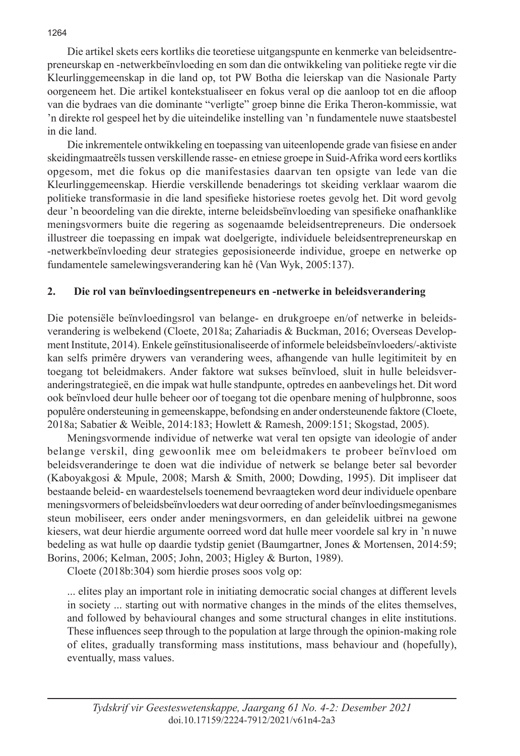Die artikel skets eers kortliks die teoretiese uitgangspunte en kenmerke van beleidsentrepreneurskap en -netwerkbeïnvloeding en som dan die ontwikkeling van politieke regte vir die Kleurlinggemeenskap in die land op, tot PW Botha die leierskap van die Nasionale Party oorgeneem het. Die artikel kontekstualiseer en fokus veral op die aanloop tot en die afloop van die bydraes van die dominante "verligte" groep binne die Erika Theron-kommissie, wat 'n direkte rol gespeel het by die uiteindelike instelling van 'n fundamentele nuwe staatsbestel in die land.

Die inkrementele ontwikkeling en toepassing van uiteenlopende grade van fisiese en ander skeidingmaatreëls tussen verskillende rasse- en etniese groepe in Suid-Afrika word eers kortliks opgesom, met die fokus op die manifestasies daarvan ten opsigte van lede van die Kleurlinggemeenskap. Hierdie verskillende benaderings tot skeiding verklaar waarom die politieke transformasie in die land spesifieke historiese roetes gevolg het. Dit word gevolg deur 'n beoordeling van die direkte, interne beleidsbeïnvloeding van spesifieke onafhanklike meningsvormers buite die regering as sogenaamde beleidsentrepreneurs. Die ondersoek illustreer die toepassing en impak wat doelgerigte, individuele beleidsentrepreneurskap en -netwerkbeïnvloeding deur strategies geposisioneerde individue, groepe en netwerke op fundamentele samelewingsverandering kan hê (Van Wyk, 2005:137).

#### **2. Die rol van beïnvloedingsentrepeneurs en -netwerke in beleidsverandering**

Die potensiële beïnvloedingsrol van belange- en drukgroepe en/of netwerke in beleidsverandering is welbekend (Cloete, 2018a; Zahariadis & Buckman, 2016; Overseas Development Institute, 2014). Enkele geïnstitusionaliseerde of informele beleidsbeïnvloeders/-aktiviste kan selfs primêre drywers van verandering wees, afhangende van hulle legitimiteit by en toegang tot beleidmakers. Ander faktore wat sukses beïnvloed, sluit in hulle beleidsveranderingstrategieë, en die impak wat hulle standpunte, optredes en aanbevelings het. Dit word ook beïnvloed deur hulle beheer oor of toegang tot die openbare mening of hulpbronne, soos populêre ondersteuning in gemeenskappe, befondsing en ander ondersteunende faktore (Cloete, 2018a; Sabatier & Weible, 2014:183; Howlett & Ramesh, 2009:151; Skogstad, 2005).

Meningsvormende individue of netwerke wat veral ten opsigte van ideologie of ander belange verskil, ding gewoonlik mee om beleidmakers te probeer beïnvloed om beleidsveranderinge te doen wat die individue of netwerk se belange beter sal bevorder (Kaboyakgosi & Mpule, 2008; Marsh & Smith, 2000; Dowding, 1995). Dit impliseer dat bestaande beleid- en waardestelsels toenemend bevraagteken word deur individuele openbare meningsvormers of beleidsbeïnvloeders wat deur oorreding of ander beïnvloedingsmeganismes steun mobiliseer, eers onder ander meningsvormers, en dan geleidelik uitbrei na gewone kiesers, wat deur hierdie argumente oorreed word dat hulle meer voordele sal kry in 'n nuwe bedeling as wat hulle op daardie tydstip geniet (Baumgartner, Jones & Mortensen, 2014:59; Borins, 2006; Kelman, 2005; John, 2003; Higley & Burton, 1989).

Cloete (2018b:304) som hierdie proses soos volg op:

... elites play an important role in initiating democratic social changes at different levels in society ... starting out with normative changes in the minds of the elites themselves, and followed by behavioural changes and some structural changes in elite institutions. These influences seep through to the population at large through the opinion-making role of elites, gradually transforming mass institutions, mass behaviour and (hopefully), eventually, mass values.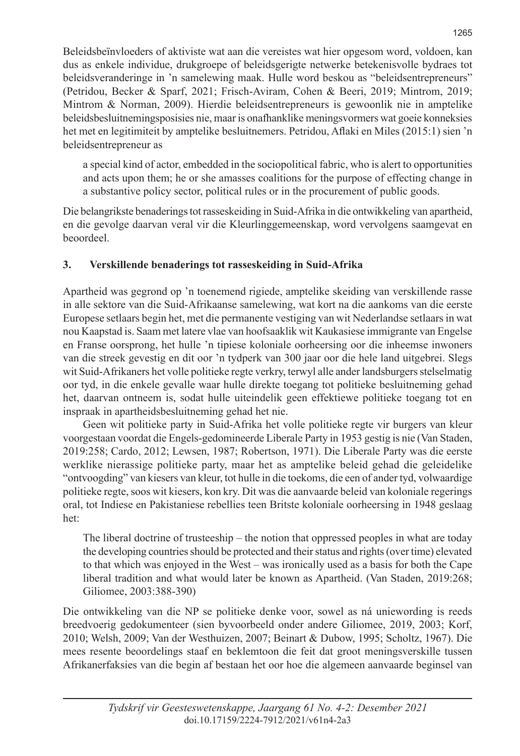Beleidsbeïnvloeders of aktiviste wat aan die vereistes wat hier opgesom word, voldoen, kan dus as enkele individue, drukgroepe of beleidsgerigte netwerke betekenisvolle bydraes tot beleidsveranderinge in 'n samelewing maak. Hulle word beskou as "beleidsentrepreneurs" (Petridou, Becker & Sparf, 2021; Frisch-Aviram, Cohen & Beeri, 2019; Mintrom, 2019; Mintrom & Norman, 2009). Hierdie beleidsentrepreneurs is gewoonlik nie in amptelike beleidsbesluitnemingsposisies nie, maar is onafhanklike meningsvormers wat goeie konneksies het met en legitimiteit by amptelike besluitnemers. Petridou, Aflaki en Miles (2015:1) sien 'n beleidsentrepreneur as

a special kind of actor, embedded in the sociopolitical fabric, who is alert to opportunities and acts upon them; he or she amasses coalitions for the purpose of effecting change in a substantive policy sector, political rules or in the procurement of public goods.

Die belangrikste benaderings tot rasseskeiding in Suid-Afrika in die ontwikkeling van apartheid, en die gevolge daarvan veral vir die Kleurlinggemeenskap, word vervolgens saamgevat en beoordeel.

# **3. Verskillende benaderings tot rasseskeiding in Suid-Afrika**

Apartheid was gegrond op 'n toenemend rigiede, amptelike skeiding van verskillende rasse in alle sektore van die Suid-Afrikaanse samelewing, wat kort na die aankoms van die eerste Europese setlaars begin het, met die permanente vestiging van wit Nederlandse setlaars in wat nou Kaapstad is. Saam met latere vlae van hoofsaaklik wit Kaukasiese immigrante van Engelse en Franse oorsprong, het hulle 'n tipiese koloniale oorheersing oor die inheemse inwoners van die streek gevestig en dit oor 'n tydperk van 300 jaar oor die hele land uitgebrei. Slegs wit Suid-Afrikaners het volle politieke regte verkry, terwyl alle ander landsburgers stelselmatig oor tyd, in die enkele gevalle waar hulle direkte toegang tot politieke besluitneming gehad het, daarvan ontneem is, sodat hulle uiteindelik geen effektiewe politieke toegang tot en inspraak in apartheidsbesluitneming gehad het nie.

Geen wit politieke party in Suid-Afrika het volle politieke regte vir burgers van kleur voorgestaan voordat die Engels-gedomineerde Liberale Party in 1953 gestig is nie (Van Staden, 2019:258; Cardo, 2012; Lewsen, 1987; Robertson, 1971). Die Liberale Party was die eerste werklike nierassige politieke party, maar het as amptelike beleid gehad die geleidelike "ontvoogding" van kiesers van kleur, tot hulle in die toekoms, die een of ander tyd, volwaardige politieke regte, soos wit kiesers, kon kry. Dit was die aanvaarde beleid van koloniale regerings oral, tot Indiese en Pakistaniese rebellies teen Britste koloniale oorheersing in 1948 geslaag het:

The liberal doctrine of trusteeship – the notion that oppressed peoples in what are today the developing countries should be protected and their status and rights (over time) elevated to that which was enjoyed in the West – was ironically used as a basis for both the Cape liberal tradition and what would later be known as Apartheid. (Van Staden, 2019:268; Giliomee, 2003:388-390)

Die ontwikkeling van die NP se politieke denke voor, sowel as ná uniewording is reeds breedvoerig gedokumenteer (sien byvoorbeeld onder andere Giliomee, 2019, 2003; Korf, 2010; Welsh, 2009; Van der Westhuizen, 2007; Beinart & Dubow, 1995; Scholtz, 1967). Die mees resente beoordelings staaf en beklemtoon die feit dat groot meningsverskille tussen Afrikanerfaksies van die begin af bestaan het oor hoe die algemeen aanvaarde beginsel van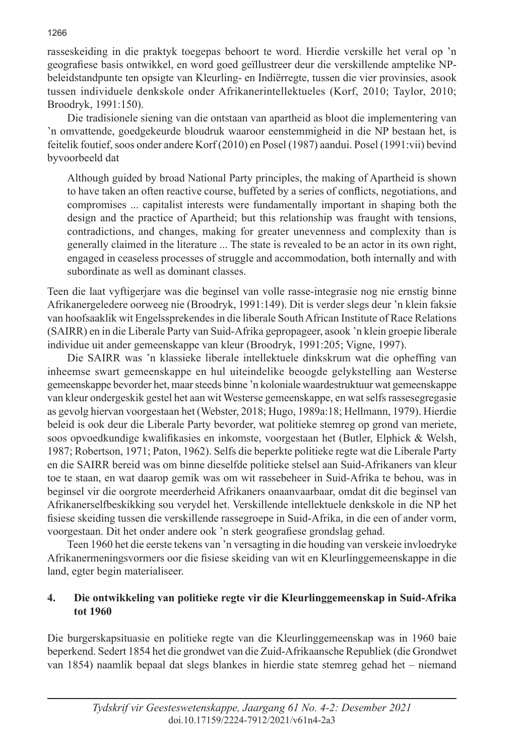rasseskeiding in die praktyk toegepas behoort te word. Hierdie verskille het veral op 'n geografiese basis ontwikkel, en word goed geïllustreer deur die verskillende amptelike NPbeleidstandpunte ten opsigte van Kleurling- en Indiërregte, tussen die vier provinsies, asook tussen individuele denkskole onder Afrikanerintellektueles (Korf, 2010; Taylor, 2010; Broodryk, 1991:150).

Die tradisionele siening van die ontstaan van apartheid as bloot die implementering van 'n omvattende, goedgekeurde bloudruk waaroor eenstemmigheid in die NP bestaan het, is feitelik foutief, soos onder andere Korf (2010) en Posel (1987) aandui. Posel (1991:vii) bevind byvoorbeeld dat

Although guided by broad National Party principles, the making of Apartheid is shown to have taken an often reactive course, buffeted by a series of conflicts, negotiations, and compromises ... capitalist interests were fundamentally important in shaping both the design and the practice of Apartheid; but this relationship was fraught with tensions, contradictions, and changes, making for greater unevenness and complexity than is generally claimed in the literature ... The state is revealed to be an actor in its own right, engaged in ceaseless processes of struggle and accommodation, both internally and with subordinate as well as dominant classes.

Teen die laat vyftigerjare was die beginsel van volle rasse-integrasie nog nie ernstig binne Afrikanergeledere oorweeg nie (Broodryk, 1991:149). Dit is verder slegs deur 'n klein faksie van hoofsaaklik wit Engelssprekendes in die liberale South African Institute of Race Relations (SAIRR) en in die Liberale Party van Suid-Afrika gepropageer, asook 'n klein groepie liberale individue uit ander gemeenskappe van kleur (Broodryk, 1991:205; Vigne, 1997).

Die SAIRR was 'n klassieke liberale intellektuele dinkskrum wat die opheffing van inheemse swart gemeenskappe en hul uiteindelike beoogde gelykstelling aan Westerse gemeenskappe bevorder het, maar steeds binne 'n koloniale waardestruktuur wat gemeenskappe van kleur ondergeskik gestel het aan wit Westerse gemeenskappe, en wat selfs rassesegregasie as gevolg hiervan voorgestaan het (Webster, 2018; Hugo, 1989a:18; Hellmann, 1979). Hierdie beleid is ook deur die Liberale Party bevorder, wat politieke stemreg op grond van meriete, soos opvoedkundige kwalifikasies en inkomste, voorgestaan het (Butler, Elphick & Welsh, 1987; Robertson, 1971; Paton, 1962). Selfs die beperkte politieke regte wat die Liberale Party en die SAIRR bereid was om binne dieselfde politieke stelsel aan Suid-Afrikaners van kleur toe te staan, en wat daarop gemik was om wit rassebeheer in Suid-Afrika te behou, was in beginsel vir die oorgrote meerderheid Afrikaners onaanvaarbaar, omdat dit die beginsel van Afrikanerselfbeskikking sou verydel het. Verskillende intellektuele denkskole in die NP het fisiese skeiding tussen die verskillende rassegroepe in Suid-Afrika, in die een of ander vorm, voorgestaan. Dit het onder andere ook 'n sterk geografiese grondslag gehad.

Teen 1960 het die eerste tekens van 'n versagting in die houding van verskeie invloedryke Afrikanermeningsvormers oor die fisiese skeiding van wit en Kleurlinggemeenskappe in die land, egter begin materialiseer.

# **4. Die ontwikkeling van politieke regte vir die Kleurlinggemeenskap in Suid-Afrika tot 1960**

Die burgerskapsituasie en politieke regte van die Kleurlinggemeenskap was in 1960 baie beperkend. Sedert 1854 het die grondwet van die Zuid-Afrikaansche Republiek (die Grondwet van 1854) naamlik bepaal dat slegs blankes in hierdie state stemreg gehad het – niemand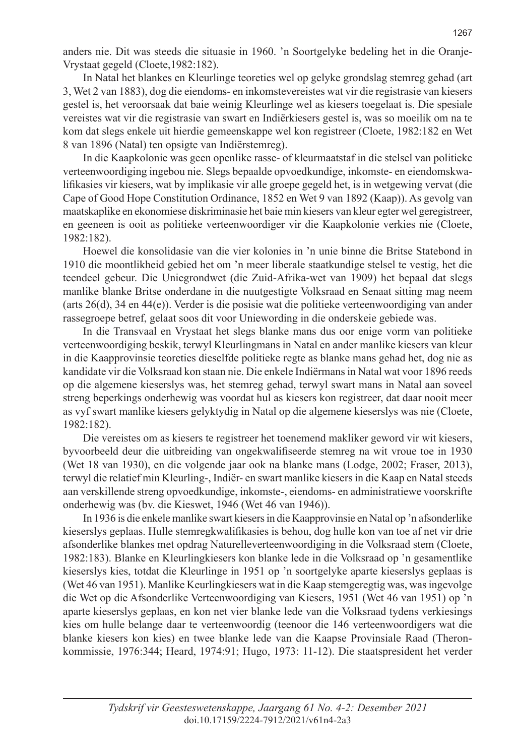anders nie. Dit was steeds die situasie in 1960. 'n Soortgelyke bedeling het in die Oranje-Vrystaat gegeld (Cloete,1982:182).

In Natal het blankes en Kleurlinge teoreties wel op gelyke grondslag stemreg gehad (art 3, Wet 2 van 1883), dog die eiendoms- en inkomstevereistes wat vir die registrasie van kiesers gestel is, het veroorsaak dat baie weinig Kleurlinge wel as kiesers toegelaat is. Die spesiale vereistes wat vir die registrasie van swart en Indiërkiesers gestel is, was so moeilik om na te kom dat slegs enkele uit hierdie gemeenskappe wel kon registreer (Cloete, 1982:182 en Wet 8 van 1896 (Natal) ten opsigte van Indiërstemreg).

In die Kaapkolonie was geen openlike rasse- of kleurmaatstaf in die stelsel van politieke verteenwoordiging ingebou nie. Slegs bepaalde opvoedkundige, inkomste- en eiendomskwalifikasies vir kiesers, wat by implikasie vir alle groepe gegeld het, is in wetgewing vervat (die Cape of Good Hope Constitution Ordinance, 1852 en Wet 9 van 1892 (Kaap)). As gevolg van maatskaplike en ekonomiese diskriminasie het baie min kiesers van kleur egter wel geregistreer, en geeneen is ooit as politieke verteenwoordiger vir die Kaapkolonie verkies nie (Cloete, 1982:182).

Hoewel die konsolidasie van die vier kolonies in 'n unie binne die Britse Statebond in 1910 die moontlikheid gebied het om 'n meer liberale staatkundige stelsel te vestig, het die teendeel gebeur. Die Uniegrondwet (die Zuid-Afrika-wet van 1909) het bepaal dat slegs manlike blanke Britse onderdane in die nuutgestigte Volksraad en Senaat sitting mag neem (arts 26(d), 34 en 44(e)). Verder is die posisie wat die politieke verteenwoordiging van ander rassegroepe betref, gelaat soos dit voor Uniewording in die onderskeie gebiede was.

In die Transvaal en Vrystaat het slegs blanke mans dus oor enige vorm van politieke verteenwoordiging beskik, terwyl Kleurlingmans in Natal en ander manlike kiesers van kleur in die Kaapprovinsie teoreties dieselfde politieke regte as blanke mans gehad het, dog nie as kandidate vir die Volksraad kon staan nie. Die enkele Indiërmans in Natal wat voor 1896 reeds op die algemene kieserslys was, het stemreg gehad, terwyl swart mans in Natal aan soveel streng beperkings onderhewig was voordat hul as kiesers kon registreer, dat daar nooit meer as vyf swart manlike kiesers gelyktydig in Natal op die algemene kieserslys was nie (Cloete, 1982:182).

Die vereistes om as kiesers te registreer het toenemend makliker geword vir wit kiesers, byvoorbeeld deur die uitbreiding van ongekwalifiseerde stemreg na wit vroue toe in 1930 (Wet 18 van 1930), en die volgende jaar ook na blanke mans (Lodge, 2002; Fraser, 2013), terwyl die relatief min Kleurling-, Indiër- en swart manlike kiesers in die Kaap en Natal steeds aan verskillende streng opvoedkundige, inkomste-, eiendoms- en administratiewe voorskrifte onderhewig was (bv. die Kieswet, 1946 (Wet 46 van 1946)).

In 1936 is die enkele manlike swart kiesers in die Kaapprovinsie en Natal op 'n afsonderlike kieserslys geplaas. Hulle stemregkwalifikasies is behou, dog hulle kon van toe af net vir drie afsonderlike blankes met opdrag Naturelleverteenwoordiging in die Volksraad stem (Cloete, 1982:183). Blanke en Kleurlingkiesers kon blanke lede in die Volksraad op 'n gesamentlike kieserslys kies, totdat die Kleurlinge in 1951 op 'n soortgelyke aparte kieserslys geplaas is (Wet 46 van 1951). Manlike Keurlingkiesers wat in die Kaap stemgeregtig was, was ingevolge die Wet op die Afsonderlike Verteenwoordiging van Kiesers, 1951 (Wet 46 van 1951) op 'n aparte kieserslys geplaas, en kon net vier blanke lede van die Volksraad tydens verkiesings kies om hulle belange daar te verteenwoordig (teenoor die 146 verteenwoordigers wat die blanke kiesers kon kies) en twee blanke lede van die Kaapse Provinsiale Raad (Theronkommissie, 1976:344; Heard, 1974:91; Hugo, 1973: 11-12). Die staatspresident het verder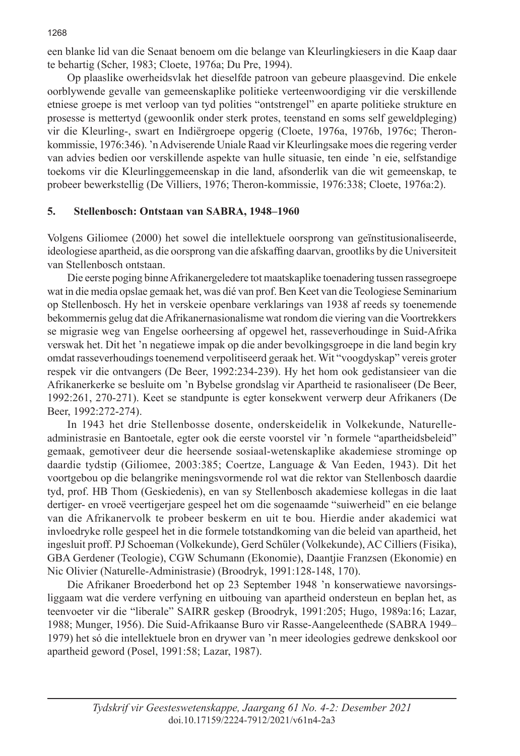een blanke lid van die Senaat benoem om die belange van Kleurlingkiesers in die Kaap daar te behartig (Scher, 1983; Cloete, 1976a; Du Pre, 1994).

Op plaaslike owerheidsvlak het dieselfde patroon van gebeure plaasgevind. Die enkele oorblywende gevalle van gemeenskaplike politieke verteenwoordiging vir die verskillende etniese groepe is met verloop van tyd polities "ontstrengel" en aparte politieke strukture en prosesse is mettertyd (gewoonlik onder sterk protes, teenstand en soms self geweldpleging) vir die Kleurling-, swart en Indiërgroepe opgerig (Cloete, 1976a, 1976b, 1976c; Theronkommissie, 1976:346). 'n Adviserende Uniale Raad vir Kleurlingsake moes die regering verder van advies bedien oor verskillende aspekte van hulle situasie, ten einde 'n eie, selfstandige toekoms vir die Kleurlinggemeenskap in die land, afsonderlik van die wit gemeenskap, te probeer bewerkstellig (De Villiers, 1976; Theron-kommissie, 1976:338; Cloete, 1976a:2).

# **5. Stellenbosch: Ontstaan van SABRA, 1948–1960**

Volgens Giliomee (2000) het sowel die intellektuele oorsprong van geïnstitusionaliseerde, ideologiese apartheid, as die oorsprong van die afskaffing daarvan, grootliks by die Universiteit van Stellenbosch ontstaan.

Die eerste poging binne Afrikanergeledere tot maatskaplike toenadering tussen rassegroepe wat in die media opslae gemaak het, was dié van prof. Ben Keet van die Teologiese Seminarium op Stellenbosch. Hy het in verskeie openbare verklarings van 1938 af reeds sy toenemende bekommernis gelug dat die Afrikanernasionalisme wat rondom die viering van die Voortrekkers se migrasie weg van Engelse oorheersing af opgewel het, rasseverhoudinge in Suid-Afrika verswak het. Dit het 'n negatiewe impak op die ander bevolkingsgroepe in die land begin kry omdat rasseverhoudings toenemend verpolitiseerd geraak het. Wit "voogdyskap" vereis groter respek vir die ontvangers (De Beer, 1992:234-239). Hy het hom ook gedistansieer van die Afrikanerkerke se besluite om 'n Bybelse grondslag vir Apartheid te rasionaliseer (De Beer, 1992:261, 270-271). Keet se standpunte is egter konsekwent verwerp deur Afrikaners (De Beer, 1992:272-274).

In 1943 het drie Stellenbosse dosente, onderskeidelik in Volkekunde, Naturelleadministrasie en Bantoetale, egter ook die eerste voorstel vir 'n formele "apartheidsbeleid" gemaak, gemotiveer deur die heersende sosiaal-wetenskaplike akademiese strominge op daardie tydstip (Giliomee, 2003:385; Coertze, Language & Van Eeden, 1943). Dit het voortgebou op die belangrike meningsvormende rol wat die rektor van Stellenbosch daardie tyd, prof. HB Thom (Geskiedenis), en van sy Stellenbosch akademiese kollegas in die laat dertiger- en vroeë veertigerjare gespeel het om die sogenaamde "suiwerheid" en eie belange van die Afrikanervolk te probeer beskerm en uit te bou. Hierdie ander akademici wat invloedryke rolle gespeel het in die formele totstandkoming van die beleid van apartheid, het ingesluit proff. PJ Schoeman (Volkekunde), Gerd Schüler (Volkekunde), AC Cilliers (Fisika), GBA Gerdener (Teologie), CGW Schumann (Ekonomie), Daantjie Franzsen (Ekonomie) en Nic Olivier (Naturelle-Administrasie) (Broodryk, 1991:128-148, 170).

Die Afrikaner Broederbond het op 23 September 1948 'n konserwatiewe navorsingsliggaam wat die verdere verfyning en uitbouing van apartheid ondersteun en beplan het, as teenvoeter vir die "liberale" SAIRR geskep (Broodryk, 1991:205; Hugo, 1989a:16; Lazar, 1988; Munger, 1956). Die Suid-Afrikaanse Buro vir Rasse-Aangeleenthede (SABRA 1949– 1979) het só die intellektuele bron en drywer van 'n meer ideologies gedrewe denkskool oor apartheid geword (Posel, 1991:58; Lazar, 1987).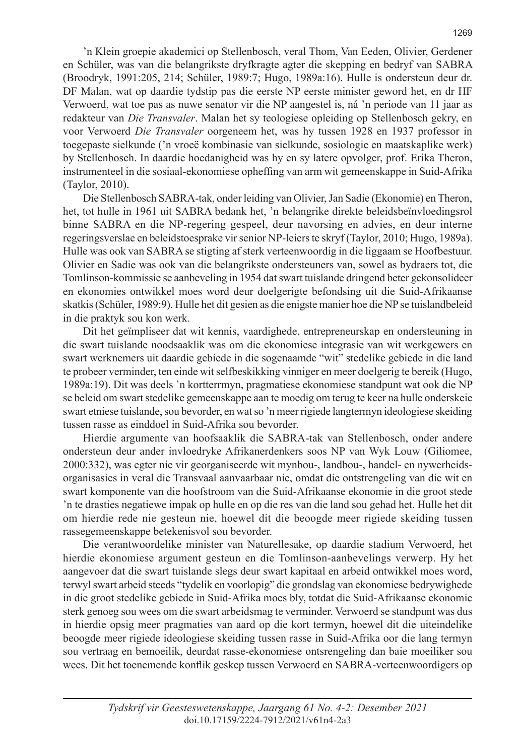'n Klein groepie akademici op Stellenbosch, veral Thom, Van Eeden, Olivier, Gerdener en Schüler, was van die belangrikste dryfkragte agter die skepping en bedryf van SABRA (Broodryk, 1991:205, 214; Schüler, 1989:7; Hugo, 1989a:16). Hulle is ondersteun deur dr. DF Malan, wat op daardie tydstip pas die eerste NP eerste minister geword het, en dr HF Verwoerd, wat toe pas as nuwe senator vir die NP aangestel is, ná 'n periode van 11 jaar as redakteur van *Die Transvaler*. Malan het sy teologiese opleiding op Stellenbosch gekry, en voor Verwoerd *Die Transvaler* oorgeneem het, was hy tussen 1928 en 1937 professor in toegepaste sielkunde ('n vroeë kombinasie van sielkunde, sosiologie en maatskaplike werk) by Stellenbosch. In daardie hoedanigheid was hy en sy latere opvolger, prof. Erika Theron, instrumenteel in die sosiaal-ekonomiese opheffing van arm wit gemeenskappe in Suid-Afrika (Taylor, 2010).

Die Stellenbosch SABRA-tak, onder leiding van Olivier, Jan Sadie (Ekonomie) en Theron, het, tot hulle in 1961 uit SABRA bedank het, 'n belangrike direkte beleidsbeïnvloedingsrol binne SABRA en die NP-regering gespeel, deur navorsing en advies, en deur interne regeringsverslae en beleidstoesprake vir senior NP-leiers te skryf (Taylor, 2010; Hugo, 1989a). Hulle was ook van SABRA se stigting af sterk verteenwoordig in die liggaam se Hoofbestuur. Olivier en Sadie was ook van die belangrikste ondersteuners van, sowel as bydraers tot, die Tomlinson-kommissie se aanbeveling in 1954 dat swart tuislande dringend beter gekonsolideer en ekonomies ontwikkel moes word deur doelgerigte befondsing uit die Suid-Afrikaanse skatkis (Schüler, 1989:9). Hulle het dit gesien as die enigste manier hoe die NP se tuislandbeleid in die praktyk sou kon werk.

Dit het geïmpliseer dat wit kennis, vaardighede, entrepreneurskap en ondersteuning in die swart tuislande noodsaaklik was om die ekonomiese integrasie van wit werkgewers en swart werknemers uit daardie gebiede in die sogenaamde "wit" stedelike gebiede in die land te probeer verminder, ten einde wit selfbeskikking vinniger en meer doelgerig te bereik (Hugo, 1989a:19). Dit was deels 'n kortterrmyn, pragmatiese ekonomiese standpunt wat ook die NP se beleid om swart stedelike gemeenskappe aan te moedig om terug te keer na hulle onderskeie swart etniese tuislande, sou bevorder, en wat so 'n meer rigiede langtermyn ideologiese skeiding tussen rasse as einddoel in Suid-Afrika sou bevorder.

Hierdie argumente van hoofsaaklik die SABRA-tak van Stellenbosch, onder andere ondersteun deur ander invloedryke Afrikanerdenkers soos NP van Wyk Louw (Giliomee, 2000:332), was egter nie vir georganiseerde wit mynbou-, landbou-, handel- en nywerheidsorganisasies in veral die Transvaal aanvaarbaar nie, omdat die ontstrengeling van die wit en swart komponente van die hoofstroom van die Suid-Afrikaanse ekonomie in die groot stede 'n te drasties negatiewe impak op hulle en op die res van die land sou gehad het. Hulle het dit om hierdie rede nie gesteun nie, hoewel dit die beoogde meer rigiede skeiding tussen rassegemeenskappe betekenisvol sou bevorder.

Die verantwoordelike minister van Naturellesake, op daardie stadium Verwoerd, het hierdie ekonomiese argument gesteun en die Tomlinson-aanbevelings verwerp. Hy het aangevoer dat die swart tuislande slegs deur swart kapitaal en arbeid ontwikkel moes word, terwyl swart arbeid steeds "tydelik en voorlopig" die grondslag van ekonomiese bedrywighede in die groot stedelike gebiede in Suid-Afrika moes bly, totdat die Suid-Afrikaanse ekonomie sterk genoeg sou wees om die swart arbeidsmag te verminder. Verwoerd se standpunt was dus in hierdie opsig meer pragmaties van aard op die kort termyn, hoewel dit die uiteindelike beoogde meer rigiede ideologiese skeiding tussen rasse in Suid-Afrika oor die lang termyn sou vertraag en bemoeilik, deurdat rasse-ekonomiese ontsrengeling dan baie moeiliker sou wees. Dit het toenemende konflik geskep tussen Verwoerd en SABRA-verteenwoordigers op

doi.10.17159/2224-7912/2021/v61n4-2a3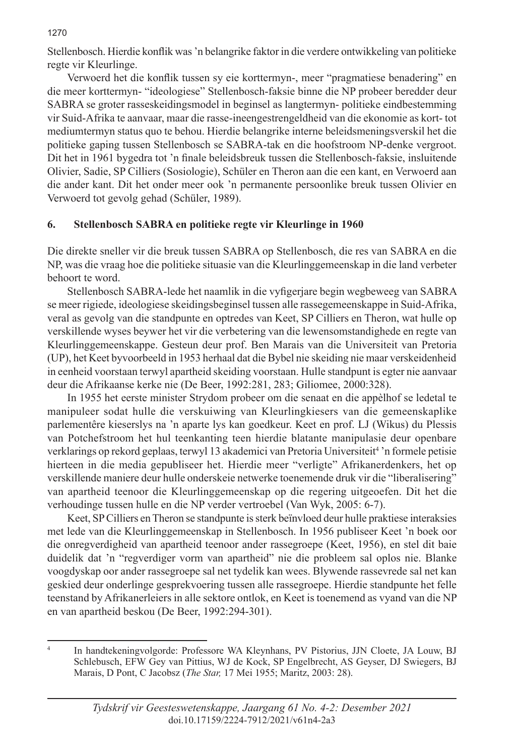Stellenbosch. Hierdie konflik was 'n belangrike faktor in die verdere ontwikkeling van politieke regte vir Kleurlinge.

Verwoerd het die konflik tussen sy eie korttermyn-, meer "pragmatiese benadering" en die meer korttermyn- "ideologiese" Stellenbosch-faksie binne die NP probeer beredder deur SABRA se groter rasseskeidingsmodel in beginsel as langtermyn- politieke eindbestemming vir Suid-Afrika te aanvaar, maar die rasse-ineengestrengeldheid van die ekonomie as kort- tot mediumtermyn status quo te behou. Hierdie belangrike interne beleidsmeningsverskil het die politieke gaping tussen Stellenbosch se SABRA-tak en die hoofstroom NP-denke vergroot. Dit het in 1961 bygedra tot 'n finale beleidsbreuk tussen die Stellenbosch-faksie, insluitende Olivier, Sadie, SP Cilliers (Sosiologie), Schüler en Theron aan die een kant, en Verwoerd aan die ander kant. Dit het onder meer ook 'n permanente persoonlike breuk tussen Olivier en Verwoerd tot gevolg gehad (Schüler, 1989).

# **6. Stellenbosch SABRA en politieke regte vir Kleurlinge in 1960**

Die direkte sneller vir die breuk tussen SABRA op Stellenbosch, die res van SABRA en die NP, was die vraag hoe die politieke situasie van die Kleurlinggemeenskap in die land verbeter behoort te word.

Stellenbosch SABRA-lede het naamlik in die vyfigerjare begin wegbeweeg van SABRA se meer rigiede, ideologiese skeidingsbeginsel tussen alle rassegemeenskappe in Suid-Afrika, veral as gevolg van die standpunte en optredes van Keet, SP Cilliers en Theron, wat hulle op verskillende wyses beywer het vir die verbetering van die lewensomstandighede en regte van Kleurlinggemeenskappe. Gesteun deur prof. Ben Marais van die Universiteit van Pretoria (UP), het Keet byvoorbeeld in 1953 herhaal dat die Bybel nie skeiding nie maar verskeidenheid in eenheid voorstaan terwyl apartheid skeiding voorstaan. Hulle standpunt is egter nie aanvaar deur die Afrikaanse kerke nie (De Beer, 1992:281, 283; Giliomee, 2000:328).

In 1955 het eerste minister Strydom probeer om die senaat en die appèlhof se ledetal te manipuleer sodat hulle die verskuiwing van Kleurlingkiesers van die gemeenskaplike parlementêre kieserslys na 'n aparte lys kan goedkeur. Keet en prof. LJ (Wikus) du Plessis van Potchefstroom het hul teenkanting teen hierdie blatante manipulasie deur openbare verklarings op rekord geplaas, terwyl 13 akademici van Pretoria Universiteit<sup>4</sup> 'n formele petisie hierteen in die media gepubliseer het. Hierdie meer "verligte" Afrikanerdenkers, het op verskillende maniere deur hulle onderskeie netwerke toenemende druk vir die "liberalisering" van apartheid teenoor die Kleurlinggemeenskap op die regering uitgeoefen. Dit het die verhoudinge tussen hulle en die NP verder vertroebel (Van Wyk, 2005: 6-7).

Keet, SP Cilliers en Theron se standpunte is sterk beïnvloed deur hulle praktiese interaksies met lede van die Kleurlinggemeenskap in Stellenbosch. In 1956 publiseer Keet 'n boek oor die onregverdigheid van apartheid teenoor ander rassegroepe (Keet, 1956), en stel dit baie duidelik dat 'n "regverdiger vorm van apartheid" nie die probleem sal oplos nie. Blanke voogdyskap oor ander rassegroepe sal net tydelik kan wees. Blywende rassevrede sal net kan geskied deur onderlinge gesprekvoering tussen alle rassegroepe. Hierdie standpunte het felle teenstand by Afrikanerleiers in alle sektore ontlok, en Keet is toenemend as vyand van die NP en van apartheid beskou (De Beer, 1992:294-301).

#### 1270

<sup>4</sup> In handtekeningvolgorde: Professore WA Kleynhans, PV Pistorius, JJN Cloete, JA Louw, BJ Schlebusch, EFW Gey van Pittius, WJ de Kock, SP Engelbrecht, AS Geyser, DJ Swiegers, BJ Marais, D Pont, C Jacobsz (*The Star,* 17 Mei 1955; Maritz, 2003: 28).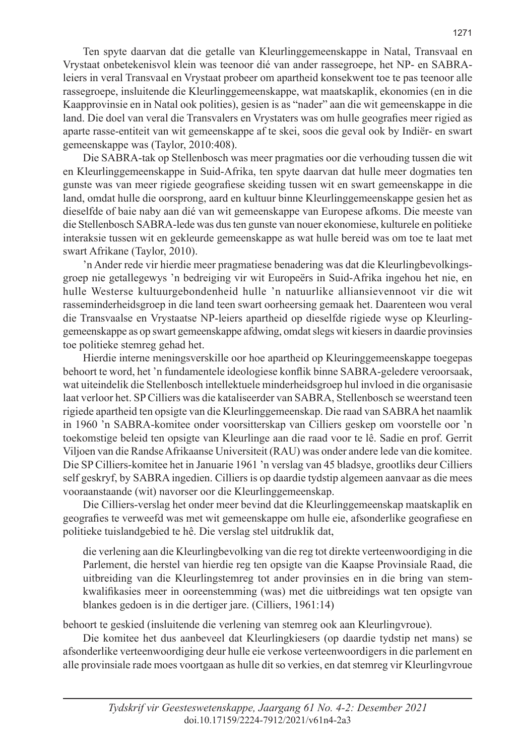Ten spyte daarvan dat die getalle van Kleurlinggemeenskappe in Natal, Transvaal en Vrystaat onbetekenisvol klein was teenoor dié van ander rassegroepe, het NP- en SABRAleiers in veral Transvaal en Vrystaat probeer om apartheid konsekwent toe te pas teenoor alle rassegroepe, insluitende die Kleurlinggemeenskappe, wat maatskaplik, ekonomies (en in die Kaapprovinsie en in Natal ook polities), gesien is as "nader" aan die wit gemeenskappe in die land. Die doel van veral die Transvalers en Vrystaters was om hulle geografies meer rigied as aparte rasse-entiteit van wit gemeenskappe af te skei, soos die geval ook by Indiër- en swart gemeenskappe was (Taylor, 2010:408).

Die SABRA-tak op Stellenbosch was meer pragmaties oor die verhouding tussen die wit en Kleurlinggemeenskappe in Suid-Afrika, ten spyte daarvan dat hulle meer dogmaties ten gunste was van meer rigiede geografiese skeiding tussen wit en swart gemeenskappe in die land, omdat hulle die oorsprong, aard en kultuur binne Kleurlinggemeenskappe gesien het as dieselfde of baie naby aan dié van wit gemeenskappe van Europese afkoms. Die meeste van die Stellenbosch SABRA-lede was dus ten gunste van nouer ekonomiese, kulturele en politieke interaksie tussen wit en gekleurde gemeenskappe as wat hulle bereid was om toe te laat met swart Afrikane (Taylor, 2010).

'n Ander rede vir hierdie meer pragmatiese benadering was dat die Kleurlingbevolkingsgroep nie getallegewys 'n bedreiging vir wit Europeërs in Suid-Afrika ingehou het nie, en hulle Westerse kultuurgebondenheid hulle 'n natuurlike alliansievennoot vir die wit rasseminderheidsgroep in die land teen swart oorheersing gemaak het. Daarenteen wou veral die Transvaalse en Vrystaatse NP-leiers apartheid op dieselfde rigiede wyse op Kleurlinggemeenskappe as op swart gemeenskappe afdwing, omdat slegs wit kiesers in daardie provinsies toe politieke stemreg gehad het.

Hierdie interne meningsverskille oor hoe apartheid op Kleuringgemeenskappe toegepas behoort te word, het 'n fundamentele ideologiese konflik binne SABRA-geledere veroorsaak, wat uiteindelik die Stellenbosch intellektuele minderheidsgroep hul invloed in die organisasie laat verloor het. SP Cilliers was die kataliseerder van SABRA, Stellenbosch se weerstand teen rigiede apartheid ten opsigte van die Kleurlinggemeenskap. Die raad van SABRA het naamlik in 1960 'n SABRA-komitee onder voorsitterskap van Cilliers geskep om voorstelle oor 'n toekomstige beleid ten opsigte van Kleurlinge aan die raad voor te lê. Sadie en prof. Gerrit Viljoen van die Randse Afrikaanse Universiteit (RAU) was onder andere lede van die komitee. Die SP Cilliers-komitee het in Januarie 1961 'n verslag van 45 bladsye, grootliks deur Cilliers self geskryf, by SABRA ingedien. Cilliers is op daardie tydstip algemeen aanvaar as die mees vooraanstaande (wit) navorser oor die Kleurlinggemeenskap.

Die Cilliers-verslag het onder meer bevind dat die Kleurlinggemeenskap maatskaplik en geografies te verweefd was met wit gemeenskappe om hulle eie, afsonderlike geografiese en politieke tuislandgebied te hê. Die verslag stel uitdruklik dat,

die verlening aan die Kleurlingbevolking van die reg tot direkte verteenwoordiging in die Parlement, die herstel van hierdie reg ten opsigte van die Kaapse Provinsiale Raad, die uitbreiding van die Kleurlingstemreg tot ander provinsies en in die bring van stemkwalifikasies meer in ooreenstemming (was) met die uitbreidings wat ten opsigte van blankes gedoen is in die dertiger jare. (Cilliers, 1961:14)

behoort te geskied (insluitende die verlening van stemreg ook aan Kleurlingvroue).

Die komitee het dus aanbeveel dat Kleurlingkiesers (op daardie tydstip net mans) se afsonderlike verteenwoordiging deur hulle eie verkose verteenwoordigers in die parlement en alle provinsiale rade moes voortgaan as hulle dit so verkies, en dat stemreg vir Kleurlingvroue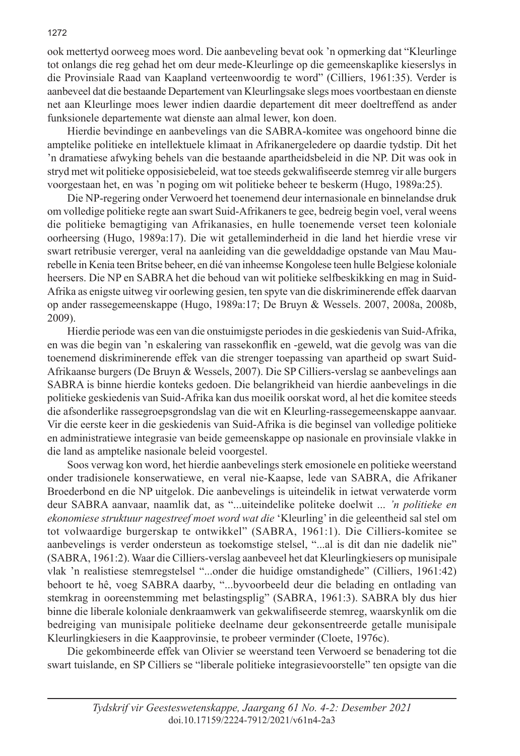ook mettertyd oorweeg moes word. Die aanbeveling bevat ook 'n opmerking dat "Kleurlinge tot onlangs die reg gehad het om deur mede-Kleurlinge op die gemeenskaplike kieserslys in die Provinsiale Raad van Kaapland verteenwoordig te word" (Cilliers, 1961:35). Verder is aanbeveel dat die bestaande Departement van Kleurlingsake slegs moes voortbestaan en dienste net aan Kleurlinge moes lewer indien daardie departement dit meer doeltreffend as ander funksionele departemente wat dienste aan almal lewer, kon doen.

Hierdie bevindinge en aanbevelings van die SABRA-komitee was ongehoord binne die amptelike politieke en intellektuele klimaat in Afrikanergeledere op daardie tydstip. Dit het 'n dramatiese afwyking behels van die bestaande apartheidsbeleid in die NP. Dit was ook in stryd met wit politieke opposisiebeleid, wat toe steeds gekwalifiseerde stemreg vir alle burgers voorgestaan het, en was 'n poging om wit politieke beheer te beskerm (Hugo, 1989a:25).

Die NP-regering onder Verwoerd het toenemend deur internasionale en binnelandse druk om volledige politieke regte aan swart Suid-Afrikaners te gee, bedreig begin voel, veral weens die politieke bemagtiging van Afrikanasies, en hulle toenemende verset teen koloniale oorheersing (Hugo, 1989a:17). Die wit getalleminderheid in die land het hierdie vrese vir swart retribusie vererger, veral na aanleiding van die gewelddadige opstande van Mau Maurebelle in Kenia teen Britse beheer, en dié van inheemse Kongolese teen hulle Belgiese koloniale heersers. Die NP en SABRA het die behoud van wit politieke selfbeskikking en mag in Suid-Afrika as enigste uitweg vir oorlewing gesien, ten spyte van die diskriminerende effek daarvan op ander rassegemeenskappe (Hugo, 1989a:17; De Bruyn & Wessels. 2007, 2008a, 2008b, 2009).

Hierdie periode was een van die onstuimigste periodes in die geskiedenis van Suid-Afrika, en was die begin van 'n eskalering van rassekonflik en -geweld, wat die gevolg was van die toenemend diskriminerende effek van die strenger toepassing van apartheid op swart Suid-Afrikaanse burgers (De Bruyn & Wessels, 2007). Die SP Cilliers-verslag se aanbevelings aan SABRA is binne hierdie konteks gedoen. Die belangrikheid van hierdie aanbevelings in die politieke geskiedenis van Suid-Afrika kan dus moeilik oorskat word, al het die komitee steeds die afsonderlike rassegroepsgrondslag van die wit en Kleurling-rassegemeenskappe aanvaar. Vir die eerste keer in die geskiedenis van Suid-Afrika is die beginsel van volledige politieke en administratiewe integrasie van beide gemeenskappe op nasionale en provinsiale vlakke in die land as amptelike nasionale beleid voorgestel.

Soos verwag kon word, het hierdie aanbevelings sterk emosionele en politieke weerstand onder tradisionele konserwatiewe, en veral nie-Kaapse, lede van SABRA, die Afrikaner Broederbond en die NP uitgelok. Die aanbevelings is uiteindelik in ietwat verwaterde vorm deur SABRA aanvaar, naamlik dat, as "...uiteindelike politeke doelwit ... *'n politieke en ekonomiese struktuur nagestreef moet word wat die* 'Kleurling' in die geleentheid sal stel om tot volwaardige burgerskap te ontwikkel" (SABRA, 1961:1). Die Cilliers-komitee se aanbevelings is verder ondersteun as toekomstige stelsel, "...al is dit dan nie dadelik nie" (SABRA, 1961:2). Waar die Cilliers-verslag aanbeveel het dat Kleurlingkiesers op munisipale vlak 'n realistiese stemregstelsel "...onder die huidige omstandighede" (Cilliers, 1961:42) behoort te hê, voeg SABRA daarby, "...byvoorbeeld deur die belading en ontlading van stemkrag in ooreenstemming met belastingsplig" (SABRA, 1961:3). SABRA bly dus hier binne die liberale koloniale denkraamwerk van gekwalifiseerde stemreg, waarskynlik om die bedreiging van munisipale politieke deelname deur gekonsentreerde getalle munisipale Kleurlingkiesers in die Kaapprovinsie, te probeer verminder (Cloete, 1976c).

Die gekombineerde effek van Olivier se weerstand teen Verwoerd se benadering tot die swart tuislande, en SP Cilliers se "liberale politieke integrasievoorstelle" ten opsigte van die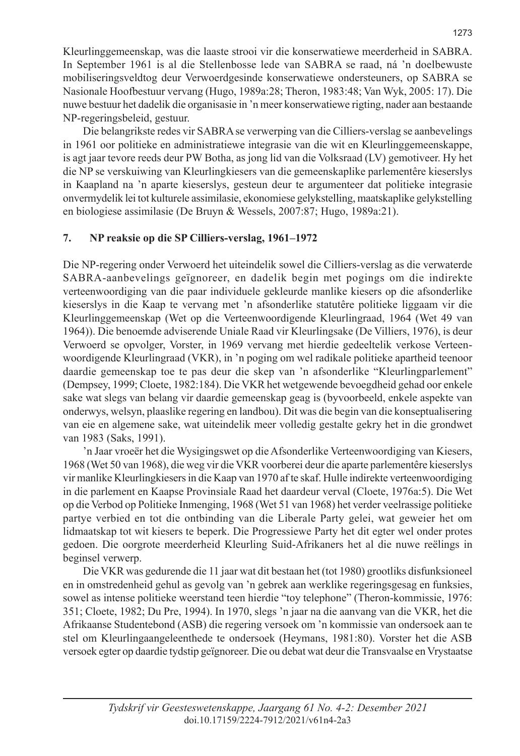Kleurlinggemeenskap, was die laaste strooi vir die konserwatiewe meerderheid in SABRA. In September 1961 is al die Stellenbosse lede van SABRA se raad, ná 'n doelbewuste mobiliseringsveldtog deur Verwoerdgesinde konserwatiewe ondersteuners, op SABRA se Nasionale Hoofbestuur vervang (Hugo, 1989a:28; Theron, 1983:48; Van Wyk, 2005: 17). Die nuwe bestuur het dadelik die organisasie in 'n meer konserwatiewe rigting, nader aan bestaande NP-regeringsbeleid, gestuur.

Die belangrikste redes vir SABRA se verwerping van die Cilliers-verslag se aanbevelings in 1961 oor politieke en administratiewe integrasie van die wit en Kleurlinggemeenskappe, is agt jaar tevore reeds deur PW Botha, as jong lid van die Volksraad (LV) gemotiveer. Hy het die NP se verskuiwing van Kleurlingkiesers van die gemeenskaplike parlementêre kieserslys in Kaapland na 'n aparte kieserslys, gesteun deur te argumenteer dat politieke integrasie onvermydelik lei tot kulturele assimilasie, ekonomiese gelykstelling, maatskaplike gelykstelling en biologiese assimilasie (De Bruyn & Wessels, 2007:87; Hugo, 1989a:21).

# **7. NP reaksie op die SP Cilliers-verslag, 1961–1972**

Die NP-regering onder Verwoerd het uiteindelik sowel die Cilliers-verslag as die verwaterde SABRA-aanbevelings geïgnoreer, en dadelik begin met pogings om die indirekte verteenwoordiging van die paar individuele gekleurde manlike kiesers op die afsonderlike kieserslys in die Kaap te vervang met 'n afsonderlike statutêre politieke liggaam vir die Kleurlinggemeenskap (Wet op die Verteenwoordigende Kleurlingraad, 1964 (Wet 49 van 1964)). Die benoemde adviserende Uniale Raad vir Kleurlingsake (De Villiers, 1976), is deur Verwoerd se opvolger, Vorster, in 1969 vervang met hierdie gedeeltelik verkose Verteenwoordigende Kleurlingraad (VKR), in 'n poging om wel radikale politieke apartheid teenoor daardie gemeenskap toe te pas deur die skep van 'n afsonderlike "Kleurlingparlement" (Dempsey, 1999; Cloete, 1982:184). Die VKR het wetgewende bevoegdheid gehad oor enkele sake wat slegs van belang vir daardie gemeenskap geag is (byvoorbeeld, enkele aspekte van onderwys, welsyn, plaaslike regering en landbou). Dit was die begin van die konseptualisering van eie en algemene sake, wat uiteindelik meer volledig gestalte gekry het in die grondwet van 1983 (Saks, 1991).

'n Jaar vroeër het die Wysigingswet op die Afsonderlike Verteenwoordiging van Kiesers, 1968 (Wet 50 van 1968), die weg vir die VKR voorberei deur die aparte parlementêre kieserslys vir manlike Kleurlingkiesers in die Kaap van 1970 af te skaf. Hulle indirekte verteenwoordiging in die parlement en Kaapse Provinsiale Raad het daardeur verval (Cloete, 1976a:5). Die Wet op die Verbod op Politieke Inmenging, 1968 (Wet 51 van 1968) het verder veelrassige politieke partye verbied en tot die ontbinding van die Liberale Party gelei, wat geweier het om lidmaatskap tot wit kiesers te beperk. Die Progressiewe Party het dit egter wel onder protes gedoen. Die oorgrote meerderheid Kleurling Suid-Afrikaners het al die nuwe reëlings in beginsel verwerp.

Die VKR was gedurende die 11 jaar wat dit bestaan het (tot 1980) grootliks disfunksioneel en in omstredenheid gehul as gevolg van 'n gebrek aan werklike regeringsgesag en funksies, sowel as intense politieke weerstand teen hierdie "toy telephone" (Theron-kommissie, 1976: 351; Cloete, 1982; Du Pre, 1994). In 1970, slegs 'n jaar na die aanvang van die VKR, het die Afrikaanse Studentebond (ASB) die regering versoek om 'n kommissie van ondersoek aan te stel om Kleurlingaangeleenthede te ondersoek (Heymans, 1981:80). Vorster het die ASB versoek egter op daardie tydstip geïgnoreer. Die ou debat wat deur die Transvaalse en Vrystaatse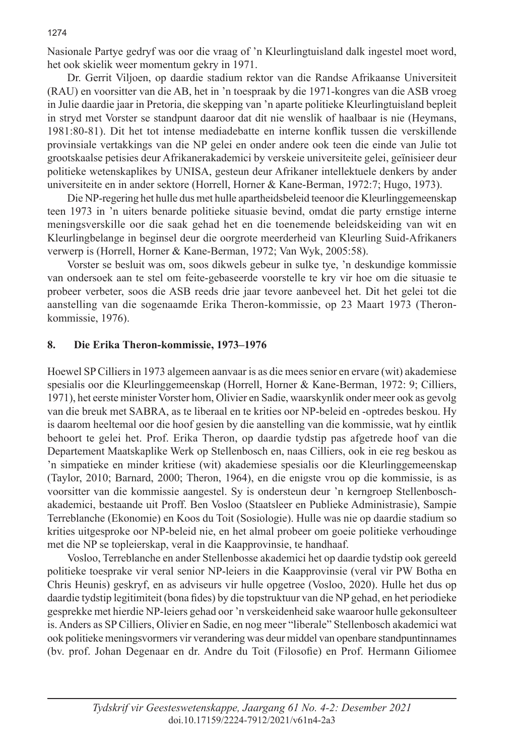Nasionale Partye gedryf was oor die vraag of 'n Kleurlingtuisland dalk ingestel moet word, het ook skielik weer momentum gekry in 1971.

Dr. Gerrit Viljoen, op daardie stadium rektor van die Randse Afrikaanse Universiteit (RAU) en voorsitter van die AB, het in 'n toespraak by die 1971-kongres van die ASB vroeg in Julie daardie jaar in Pretoria, die skepping van 'n aparte politieke Kleurlingtuisland bepleit in stryd met Vorster se standpunt daaroor dat dit nie wenslik of haalbaar is nie (Heymans, 1981:80-81). Dit het tot intense mediadebatte en interne konflik tussen die verskillende provinsiale vertakkings van die NP gelei en onder andere ook teen die einde van Julie tot grootskaalse petisies deur Afrikanerakademici by verskeie universiteite gelei, geïnisieer deur politieke wetenskaplikes by UNISA, gesteun deur Afrikaner intellektuele denkers by ander universiteite en in ander sektore (Horrell, Horner & Kane-Berman, 1972:7; Hugo, 1973).

Die NP-regering het hulle dus met hulle apartheidsbeleid teenoor die Kleurlinggemeenskap teen 1973 in 'n uiters benarde politieke situasie bevind, omdat die party ernstige interne meningsverskille oor die saak gehad het en die toenemende beleidskeiding van wit en Kleurlingbelange in beginsel deur die oorgrote meerderheid van Kleurling Suid-Afrikaners verwerp is (Horrell, Horner & Kane-Berman, 1972; Van Wyk, 2005:58).

Vorster se besluit was om, soos dikwels gebeur in sulke tye, 'n deskundige kommissie van ondersoek aan te stel om feite-gebaseerde voorstelle te kry vir hoe om die situasie te probeer verbeter, soos die ASB reeds drie jaar tevore aanbeveel het. Dit het gelei tot die aanstelling van die sogenaamde Erika Theron-kommissie, op 23 Maart 1973 (Theronkommissie, 1976).

#### **8. Die Erika Theron-kommissie, 1973–1976**

Hoewel SP Cilliers in 1973 algemeen aanvaar is as die mees senior en ervare (wit) akademiese spesialis oor die Kleurlinggemeenskap (Horrell, Horner & Kane-Berman, 1972: 9; Cilliers, 1971), het eerste minister Vorster hom, Olivier en Sadie, waarskynlik onder meer ook as gevolg van die breuk met SABRA, as te liberaal en te krities oor NP-beleid en -optredes beskou. Hy is daarom heeltemal oor die hoof gesien by die aanstelling van die kommissie, wat hy eintlik behoort te gelei het. Prof. Erika Theron, op daardie tydstip pas afgetrede hoof van die Departement Maatskaplike Werk op Stellenbosch en, naas Cilliers, ook in eie reg beskou as 'n simpatieke en minder kritiese (wit) akademiese spesialis oor die Kleurlinggemeenskap (Taylor, 2010; Barnard, 2000; Theron, 1964), en die enigste vrou op die kommissie, is as voorsitter van die kommissie aangestel. Sy is ondersteun deur 'n kerngroep Stellenboschakademici, bestaande uit Proff. Ben Vosloo (Staatsleer en Publieke Administrasie), Sampie Terreblanche (Ekonomie) en Koos du Toit (Sosiologie). Hulle was nie op daardie stadium so krities uitgesproke oor NP-beleid nie, en het almal probeer om goeie politieke verhoudinge met die NP se topleierskap, veral in die Kaapprovinsie, te handhaaf.

Vosloo, Terreblanche en ander Stellenbosse akademici het op daardie tydstip ook gereeld politieke toesprake vir veral senior NP-leiers in die Kaapprovinsie (veral vir PW Botha en Chris Heunis) geskryf, en as adviseurs vir hulle opgetree (Vosloo, 2020). Hulle het dus op daardie tydstip legitimiteit (bona fides) by die topstruktuur van die NP gehad, en het periodieke gesprekke met hierdie NP-leiers gehad oor 'n verskeidenheid sake waaroor hulle gekonsulteer is. Anders as SP Cilliers, Olivier en Sadie, en nog meer "liberale" Stellenbosch akademici wat ook politieke meningsvormers vir verandering was deur middel van openbare standpuntinnames (bv. prof. Johan Degenaar en dr. Andre du Toit (Filosofie) en Prof. Hermann Giliomee

#### 1274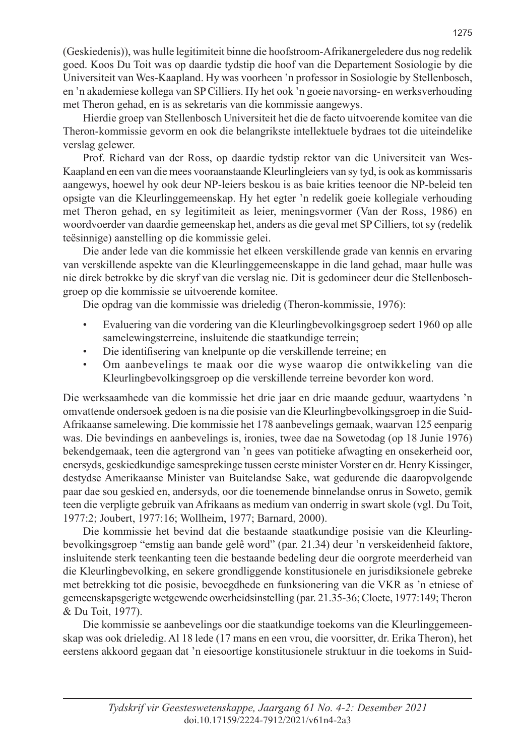(Geskiedenis)), was hulle legitimiteit binne die hoofstroom-Afrikanergeledere dus nog redelik goed. Koos Du Toit was op daardie tydstip die hoof van die Departement Sosiologie by die Universiteit van Wes-Kaapland. Hy was voorheen 'n professor in Sosiologie by Stellenbosch, en 'n akademiese kollega van SP Cilliers. Hy het ook 'n goeie navorsing- en werksverhouding met Theron gehad, en is as sekretaris van die kommissie aangewys.

Hierdie groep van Stellenbosch Universiteit het die de facto uitvoerende komitee van die Theron-kommissie gevorm en ook die belangrikste intellektuele bydraes tot die uiteindelike verslag gelewer.

Prof. Richard van der Ross, op daardie tydstip rektor van die Universiteit van Wes-Kaapland en een van die mees vooraanstaande Kleurlingleiers van sy tyd, is ook as kommissaris aangewys, hoewel hy ook deur NP-leiers beskou is as baie krities teenoor die NP-beleid ten opsigte van die Kleurlinggemeenskap. Hy het egter 'n redelik goeie kollegiale verhouding met Theron gehad, en sy legitimiteit as leier, meningsvormer (Van der Ross, 1986) en woordvoerder van daardie gemeenskap het, anders as die geval met SP Cilliers, tot sy (redelik teësinnige) aanstelling op die kommissie gelei.

Die ander lede van die kommissie het elkeen verskillende grade van kennis en ervaring van verskillende aspekte van die Kleurlinggemeenskappe in die land gehad, maar hulle was nie direk betrokke by die skryf van die verslag nie. Dit is gedomineer deur die Stellenboschgroep op die kommissie se uitvoerende komitee.

Die opdrag van die kommissie was drieledig (Theron-kommissie, 1976):

- Evaluering van die vordering van die Kleurlingbevolkingsgroep sedert 1960 op alle samelewingsterreine, insluitende die staatkundige terrein;
- Die identifisering van knelpunte op die verskillende terreine; en
- Om aanbevelings te maak oor die wyse waarop die ontwikkeling van die Kleurlingbevolkingsgroep op die verskillende terreine bevorder kon word.

Die werksaamhede van die kommissie het drie jaar en drie maande geduur, waartydens 'n omvattende ondersoek gedoen is na die posisie van die Kleurlingbevolkingsgroep in die Suid-Afrikaanse samelewing. Die kommissie het 178 aanbevelings gemaak, waarvan 125 eenparig was. Die bevindings en aanbevelings is, ironies, twee dae na Sowetodag (op 18 Junie 1976) bekendgemaak, teen die agtergrond van 'n gees van potitieke afwagting en onsekerheid oor, enersyds, geskiedkundige samesprekinge tussen eerste minister Vorster en dr. Henry Kissinger, destydse Amerikaanse Minister van Buitelandse Sake, wat gedurende die daaropvolgende paar dae sou geskied en, andersyds, oor die toenemende binnelandse onrus in Soweto, gemik teen die verpligte gebruik van Afrikaans as medium van onderrig in swart skole (vgl. Du Toit, 1977:2; Joubert, 1977:16; Wollheim, 1977; Barnard, 2000).

Die kommissie het bevind dat die bestaande staatkundige posisie van die Kleurlingbevolkingsgroep "emstig aan bande gelê word" (par. 21.34) deur 'n verskeidenheid faktore, insluitende sterk teenkanting teen die bestaande bedeling deur die oorgrote meerderheid van die Kleurlingbevolking, en sekere grondliggende konstitusionele en jurisdiksionele gebreke met betrekking tot die posisie, bevoegdhede en funksionering van die VKR as 'n etniese of gemeenskapsgerigte wetgewende owerheidsinstelling (par. 21.35-36; Cloete, 1977:149; Theron & Du Toit, 1977).

Die kommissie se aanbevelings oor die staatkundige toekoms van die Kleurlinggemeenskap was ook drieledig. Al 18 lede (17 mans en een vrou, die voorsitter, dr. Erika Theron), het eerstens akkoord gegaan dat 'n eiesoortige konstitusionele struktuur in die toekoms in Suid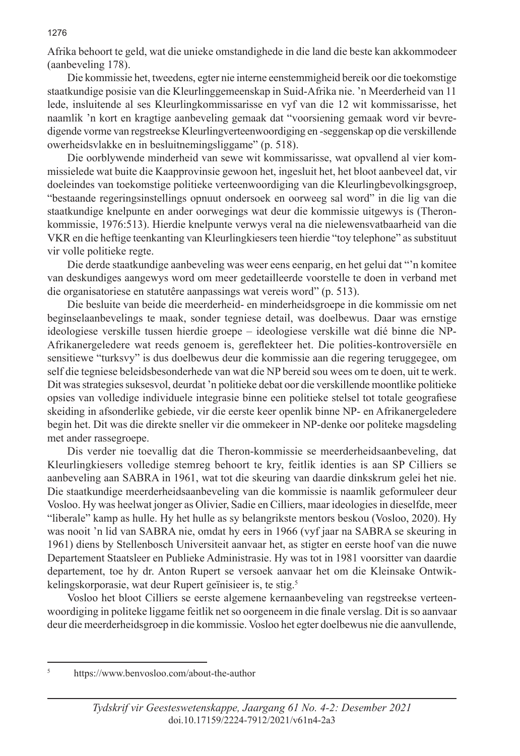Afrika behoort te geld, wat die unieke omstandighede in die land die beste kan akkommodeer (aanbeveling 178).

Die kommissie het, tweedens, egter nie interne eenstemmigheid bereik oor die toekomstige staatkundige posisie van die Kleurlinggemeenskap in Suid-Afrika nie. 'n Meerderheid van 11 lede, insluitende al ses Kleurlingkommissarisse en vyf van die 12 wit kommissarisse, het naamlik 'n kort en kragtige aanbeveling gemaak dat "voorsiening gemaak word vir bevredigende vorme van regstreekse Kleurlingverteenwoordiging en -seggenskap op die verskillende owerheidsvlakke en in besluitnemingsliggame" (p. 518).

Die oorblywende minderheid van sewe wit kommissarisse, wat opvallend al vier kommissielede wat buite die Kaapprovinsie gewoon het, ingesluit het, het bloot aanbeveel dat, vir doeleindes van toekomstige politieke verteenwoordiging van die Kleurlingbevolkingsgroep, "bestaande regeringsinstellings opnuut ondersoek en oorweeg sal word" in die lig van die staatkundige knelpunte en ander oorwegings wat deur die kommissie uitgewys is (Theronkommissie, 1976:513). Hierdie knelpunte verwys veral na die nielewensvatbaarheid van die VKR en die heftige teenkanting van Kleurlingkiesers teen hierdie "toy telephone" as substituut vir volle politieke regte.

Die derde staatkundige aanbeveling was weer eens eenparig, en het gelui dat "'n komitee van deskundiges aangewys word om meer gedetailleerde voorstelle te doen in verband met die organisatoriese en statutêre aanpassings wat vereis word" (p. 513).

Die besluite van beide die meerderheid- en minderheidsgroepe in die kommissie om net beginselaanbevelings te maak, sonder tegniese detail, was doelbewus. Daar was ernstige ideologiese verskille tussen hierdie groepe – ideologiese verskille wat dié binne die NP-Afrikanergeledere wat reeds genoem is, gereflekteer het. Die polities-kontroversiële en sensitiewe "turksvy" is dus doelbewus deur die kommissie aan die regering teruggegee, om self die tegniese beleidsbesonderhede van wat die NP bereid sou wees om te doen, uit te werk. Dit was strategies suksesvol, deurdat 'n politieke debat oor die verskillende moontlike politieke opsies van volledige individuele integrasie binne een politieke stelsel tot totale geografiese skeiding in afsonderlike gebiede, vir die eerste keer openlik binne NP- en Afrikanergeledere begin het. Dit was die direkte sneller vir die ommekeer in NP-denke oor politeke magsdeling met ander rassegroepe.

Dis verder nie toevallig dat die Theron-kommissie se meerderheidsaanbeveling, dat Kleurlingkiesers volledige stemreg behoort te kry, feitlik identies is aan SP Cilliers se aanbeveling aan SABRA in 1961, wat tot die skeuring van daardie dinkskrum gelei het nie. Die staatkundige meerderheidsaanbeveling van die kommissie is naamlik geformuleer deur Vosloo. Hy was heelwat jonger as Olivier, Sadie en Cilliers, maar ideologies in dieselfde, meer "liberale" kamp as hulle. Hy het hulle as sy belangrikste mentors beskou (Vosloo, 2020). Hy was nooit 'n lid van SABRA nie, omdat hy eers in 1966 (vyf jaar na SABRA se skeuring in 1961) diens by Stellenbosch Universiteit aanvaar het, as stigter en eerste hoof van die nuwe Departement Staatsleer en Publieke Administrasie. Hy was tot in 1981 voorsitter van daardie departement, toe hy dr. Anton Rupert se versoek aanvaar het om die Kleinsake Ontwikkelingskorporasie, wat deur Rupert geïnisieer is, te stig.5

Vosloo het bloot Cilliers se eerste algemene kernaanbeveling van regstreekse verteenwoordiging in politeke liggame feitlik net so oorgeneem in die finale verslag. Dit is so aanvaar deur die meerderheidsgroep in die kommissie. Vosloo het egter doelbewus nie die aanvullende,

<sup>5</sup> https://www.benvosloo.com/about-the-author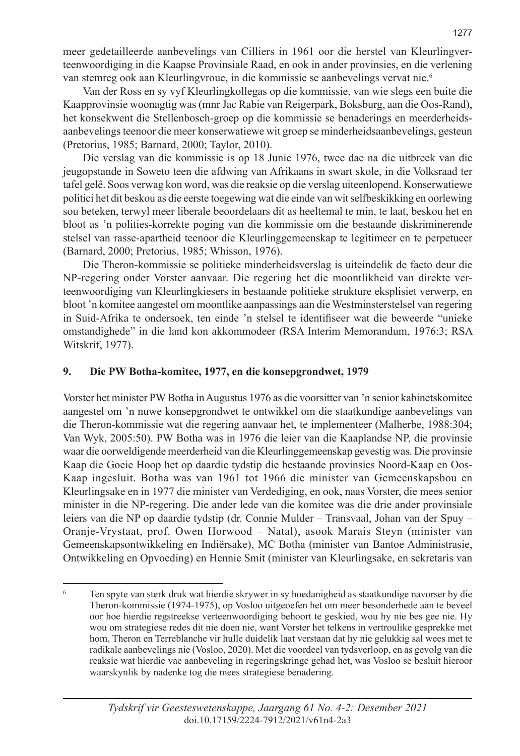meer gedetailleerde aanbevelings van Cilliers in 1961 oor die herstel van Kleurlingverteenwoordiging in die Kaapse Provinsiale Raad, en ook in ander provinsies, en die verlening van stemreg ook aan Kleurlingvroue, in die kommissie se aanbevelings vervat nie.<sup>6</sup>

Van der Ross en sy vyf Kleurlingkollegas op die kommissie, van wie slegs een buite die Kaapprovinsie woonagtig was (mnr Jac Rabie van Reigerpark, Boksburg, aan die Oos-Rand), het konsekwent die Stellenbosch-groep op die kommissie se benaderings en meerderheidsaanbevelings teenoor die meer konserwatiewe wit groep se minderheidsaanbevelings, gesteun (Pretorius, 1985; Barnard, 2000; Taylor, 2010).

Die verslag van die kommissie is op 18 Junie 1976, twee dae na die uitbreek van die jeugopstande in Soweto teen die afdwing van Afrikaans in swart skole, in die Volksraad ter tafel gelê. Soos verwag kon word, was die reaksie op die verslag uiteenlopend. Konserwatiewe politici het dit beskou as die eerste toegewing wat die einde van wit selfbeskikking en oorlewing sou beteken, terwyl meer liberale beoordelaars dit as heeltemal te min, te laat, beskou het en bloot as 'n polities-korrekte poging van die kommissie om die bestaande diskriminerende stelsel van rasse-apartheid teenoor die Kleurlinggemeenskap te legitimeer en te perpetueer (Barnard, 2000; Pretorius, 1985; Whisson, 1976).

Die Theron-kommissie se politieke minderheidsverslag is uiteindelik de facto deur die NP-regering onder Vorster aanvaar. Die regering het die moontlikheid van direkte verteenwoordiging van Kleurlingkiesers in bestaande politieke strukture eksplisiet verwerp, en bloot 'n komitee aangestel om moontlike aanpassings aan die Westminsterstelsel van regering in Suid-Afrika te ondersoek, ten einde 'n stelsel te identifiseer wat die beweerde "unieke omstandighede" in die land kon akkommodeer (RSA Interim Memorandum, 1976:3; RSA Witskrif, 1977).

#### **9. Die PW Botha-komitee, 1977, en die konsepgrondwet, 1979**

Vorster het minister PW Botha in Augustus 1976 as die voorsitter van 'n senior kabinetskomitee aangestel om 'n nuwe konsepgrondwet te ontwikkel om die staatkundige aanbevelings van die Theron-kommissie wat die regering aanvaar het, te implementeer (Malherbe, 1988:304; Van Wyk, 2005:50). PW Botha was in 1976 die leier van die Kaaplandse NP, die provinsie waar die oorweldigende meerderheid van die Kleurlinggemeenskap gevestig was. Die provinsie Kaap die Goeie Hoop het op daardie tydstip die bestaande provinsies Noord-Kaap en Oos-Kaap ingesluit. Botha was van 1961 tot 1966 die minister van Gemeenskapsbou en Kleurlingsake en in 1977 die minister van Verdediging, en ook, naas Vorster, die mees senior minister in die NP-regering. Die ander lede van die komitee was die drie ander provinsiale leiers van die NP op daardie tydstip (dr. Connie Mulder – Transvaal, Johan van der Spuy – Oranje-Vrystaat, prof. Owen Horwood – Natal), asook Marais Steyn (minister van Gemeenskapsontwikkeling en Indiërsake), MC Botha (minister van Bantoe Administrasie, Ontwikkeling en Opvoeding) en Hennie Smit (minister van Kleurlingsake, en sekretaris van

<sup>&</sup>lt;sup>6</sup> Ten spyte van sterk druk wat hierdie skrywer in sy hoedanigheid as staatkundige navorser by die Theron-kommissie (1974-1975), op Vosloo uitgeoefen het om meer besonderhede aan te beveel oor hoe hierdie regstreekse verteenwoordiging behoort te geskied, wou hy nie bes gee nie. Hy wou om strategiese redes dit nie doen nie, want Vorster het telkens in vertroulike gesprekke met hom, Theron en Terreblanche vir hulle duidelik laat verstaan dat hy nie gelukkig sal wees met te radikale aanbevelings nie (Vosloo, 2020). Met die voordeel van tydsverloop, en as gevolg van die reaksie wat hierdie vae aanbeveling in regeringskringe gehad het, was Vosloo se besluit hieroor waarskynlik by nadenke tog die mees strategiese benadering.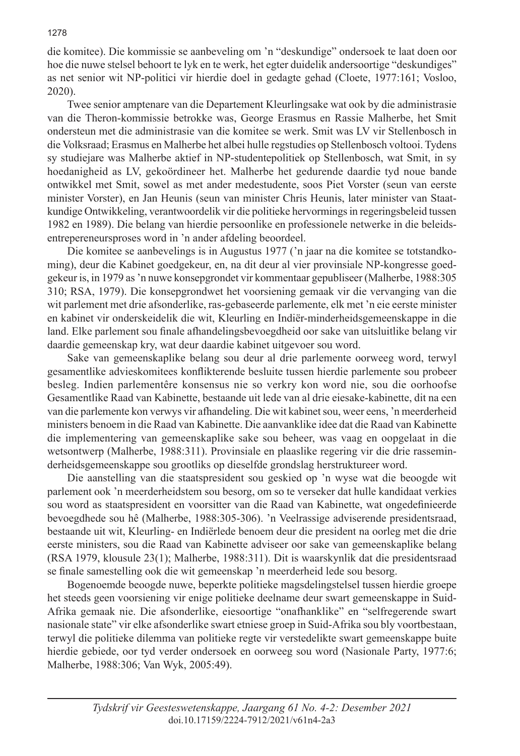die komitee). Die kommissie se aanbeveling om 'n "deskundige" ondersoek te laat doen oor hoe die nuwe stelsel behoort te lyk en te werk, het egter duidelik andersoortige "deskundiges" as net senior wit NP-politici vir hierdie doel in gedagte gehad (Cloete, 1977:161; Vosloo, 2020).

Twee senior amptenare van die Departement Kleurlingsake wat ook by die administrasie van die Theron-kommissie betrokke was, George Erasmus en Rassie Malherbe, het Smit ondersteun met die administrasie van die komitee se werk. Smit was LV vir Stellenbosch in die Volksraad; Erasmus en Malherbe het albei hulle regstudies op Stellenbosch voltooi. Tydens sy studiejare was Malherbe aktief in NP-studentepolitiek op Stellenbosch, wat Smit, in sy hoedanigheid as LV, gekoördineer het. Malherbe het gedurende daardie tyd noue bande ontwikkel met Smit, sowel as met ander medestudente, soos Piet Vorster (seun van eerste minister Vorster), en Jan Heunis (seun van minister Chris Heunis, later minister van Staatkundige Ontwikkeling, verantwoordelik vir die politieke hervormings in regeringsbeleid tussen 1982 en 1989). Die belang van hierdie persoonlike en professionele netwerke in die beleidsentrepereneursproses word in 'n ander afdeling beoordeel.

Die komitee se aanbevelings is in Augustus 1977 ('n jaar na die komitee se totstandkoming), deur die Kabinet goedgekeur, en, na dit deur al vier provinsiale NP-kongresse goedgekeur is, in 1979 as 'n nuwe konsepgrondet vir kommentaar gepubliseer (Malherbe, 1988:305 310; RSA, 1979). Die konsepgrondwet het voorsiening gemaak vir die vervanging van die wit parlement met drie afsonderlike, ras-gebaseerde parlemente, elk met 'n eie eerste minister en kabinet vir onderskeidelik die wit, Kleurling en Indiër-minderheidsgemeenskappe in die land. Elke parlement sou finale afhandelingsbevoegdheid oor sake van uitsluitlike belang vir daardie gemeenskap kry, wat deur daardie kabinet uitgevoer sou word.

Sake van gemeenskaplike belang sou deur al drie parlemente oorweeg word, terwyl gesamentlike advieskomitees konflikterende besluite tussen hierdie parlemente sou probeer besleg. Indien parlementêre konsensus nie so verkry kon word nie, sou die oorhoofse Gesamentlike Raad van Kabinette, bestaande uit lede van al drie eiesake-kabinette, dit na een van die parlemente kon verwys vir afhandeling. Die wit kabinet sou, weer eens, 'n meerderheid ministers benoem in die Raad van Kabinette. Die aanvanklike idee dat die Raad van Kabinette die implementering van gemeenskaplike sake sou beheer, was vaag en oopgelaat in die wetsontwerp (Malherbe, 1988:311). Provinsiale en plaaslike regering vir die drie rasseminderheidsgemeenskappe sou grootliks op dieselfde grondslag herstruktureer word.

Die aanstelling van die staatspresident sou geskied op 'n wyse wat die beoogde wit parlement ook 'n meerderheidstem sou besorg, om so te verseker dat hulle kandidaat verkies sou word as staatspresident en voorsitter van die Raad van Kabinette, wat ongedefinieerde bevoegdhede sou hê (Malherbe, 1988:305-306). 'n Veelrassige adviserende presidentsraad, bestaande uit wit, Kleurling- en Indiërlede benoem deur die president na oorleg met die drie eerste ministers, sou die Raad van Kabinette adviseer oor sake van gemeenskaplike belang (RSA 1979, klousule 23(1); Malherbe, 1988:311). Dit is waarskynlik dat die presidentsraad se finale samestelling ook die wit gemeenskap 'n meerderheid lede sou besorg.

Bogenoemde beoogde nuwe, beperkte politieke magsdelingstelsel tussen hierdie groepe het steeds geen voorsiening vir enige politieke deelname deur swart gemeenskappe in Suid-Afrika gemaak nie. Die afsonderlike, eiesoortige "onafhanklike" en "selfregerende swart nasionale state" vir elke afsonderlike swart etniese groep in Suid-Afrika sou bly voortbestaan, terwyl die politieke dilemma van politieke regte vir verstedelikte swart gemeenskappe buite hierdie gebiede, oor tyd verder ondersoek en oorweeg sou word (Nasionale Party, 1977:6; Malherbe, 1988:306; Van Wyk, 2005:49).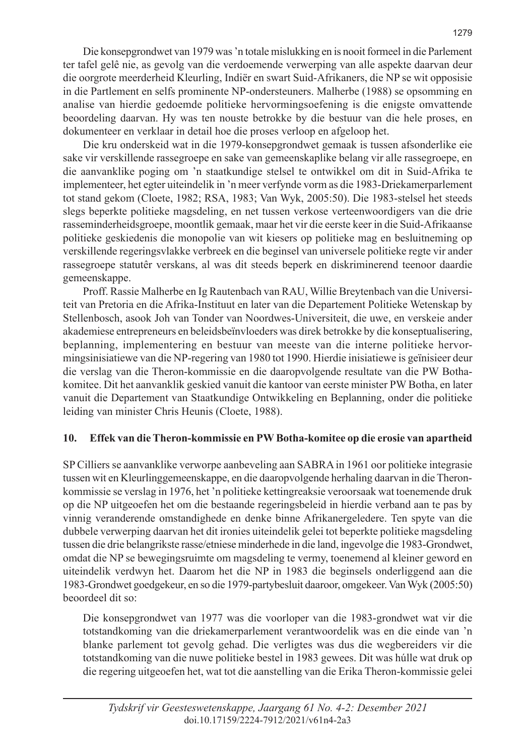Die konsepgrondwet van 1979 was 'n totale mislukking en is nooit formeel in die Parlement ter tafel gelê nie, as gevolg van die verdoemende verwerping van alle aspekte daarvan deur die oorgrote meerderheid Kleurling, Indiër en swart Suid-Afrikaners, die NP se wit opposisie in die Partlement en selfs prominente NP-ondersteuners. Malherbe (1988) se opsomming en analise van hierdie gedoemde politieke hervormingsoefening is die enigste omvattende beoordeling daarvan. Hy was ten nouste betrokke by die bestuur van die hele proses, en dokumenteer en verklaar in detail hoe die proses verloop en afgeloop het.

Die kru onderskeid wat in die 1979-konsepgrondwet gemaak is tussen afsonderlike eie sake vir verskillende rassegroepe en sake van gemeenskaplike belang vir alle rassegroepe, en die aanvanklike poging om 'n staatkundige stelsel te ontwikkel om dit in Suid-Afrika te implementeer, het egter uiteindelik in 'n meer verfynde vorm as die 1983-Driekamerparlement tot stand gekom (Cloete, 1982; RSA, 1983; Van Wyk, 2005:50). Die 1983-stelsel het steeds slegs beperkte politieke magsdeling, en net tussen verkose verteenwoordigers van die drie rasseminderheidsgroepe, moontlik gemaak, maar het vir die eerste keer in die Suid-Afrikaanse politieke geskiedenis die monopolie van wit kiesers op politieke mag en besluitneming op verskillende regeringsvlakke verbreek en die beginsel van universele politieke regte vir ander rassegroepe statutêr verskans, al was dit steeds beperk en diskriminerend teenoor daardie gemeenskappe.

Proff. Rassie Malherbe en Ig Rautenbach van RAU, Willie Breytenbach van die Universiteit van Pretoria en die Afrika-Instituut en later van die Departement Politieke Wetenskap by Stellenbosch, asook Joh van Tonder van Noordwes-Universiteit, die uwe, en verskeie ander akademiese entrepreneurs en beleidsbeïnvloeders was direk betrokke by die konseptualisering, beplanning, implementering en bestuur van meeste van die interne politieke hervormingsinisiatiewe van die NP-regering van 1980 tot 1990. Hierdie inisiatiewe is geïnisieer deur die verslag van die Theron-kommissie en die daaropvolgende resultate van die PW Bothakomitee. Dit het aanvanklik geskied vanuit die kantoor van eerste minister PW Botha, en later vanuit die Departement van Staatkundige Ontwikkeling en Beplanning, onder die politieke leiding van minister Chris Heunis (Cloete, 1988).

# **10. Effek van die Theron-kommissie en PW Botha-komitee op die erosie van apartheid**

SP Cilliers se aanvanklike verworpe aanbeveling aan SABRA in 1961 oor politieke integrasie tussen wit en Kleurlinggemeenskappe, en die daaropvolgende herhaling daarvan in die Theronkommissie se verslag in 1976, het 'n politieke kettingreaksie veroorsaak wat toenemende druk op die NP uitgeoefen het om die bestaande regeringsbeleid in hierdie verband aan te pas by vinnig veranderende omstandighede en denke binne Afrikanergeledere. Ten spyte van die dubbele verwerping daarvan het dit ironies uiteindelik gelei tot beperkte politieke magsdeling tussen die drie belangrikste rasse/etniese minderhede in die land, ingevolge die 1983-Grondwet, omdat die NP se bewegingsruimte om magsdeling te vermy, toenemend al kleiner geword en uiteindelik verdwyn het. Daarom het die NP in 1983 die beginsels onderliggend aan die 1983-Grondwet goedgekeur, en so die 1979-partybesluit daaroor, omgekeer. Van Wyk (2005:50) beoordeel dit so:

Die konsepgrondwet van 1977 was die voorloper van die 1983-grondwet wat vir die totstandkoming van die driekamerparlement verantwoordelik was en die einde van 'n blanke parlement tot gevolg gehad. Die verligtes was dus die wegbereiders vir die totstandkoming van die nuwe politieke bestel in 1983 gewees. Dit was húlle wat druk op die regering uitgeoefen het, wat tot die aanstelling van die Erika Theron-kommissie gelei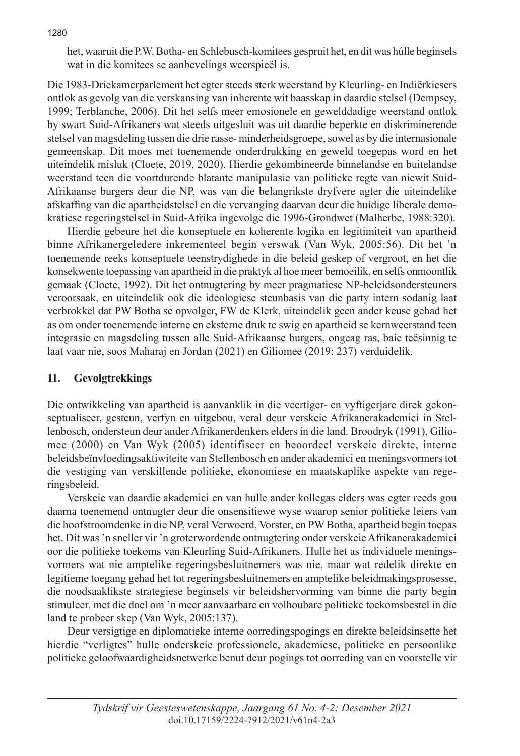het, waaruit die P.W. Botha- en Schlebusch-komitees gespruit het, en dit was húlle beginsels wat in die komitees se aanbevelings weerspieël is.

Die 1983-Driekamerparlement het egter steeds sterk weerstand by Kleurling- en Indiërkiesers ontlok as gevolg van die verskansing van inherente wit baasskap in daardie stelsel (Dempsey, 1999; Terblanche, 2006). Dit het selfs meer emosionele en gewelddadige weerstand ontlok by swart Suid-Afrikaners wat steeds uitgesluit was uit daardie beperkte en diskriminerende stelsel van magsdeling tussen die drie rasse- minderheidsgroepe, sowel as by die internasionale gemeenskap. Dit moes met toenemende onderdrukking en geweld toegepas word en het uiteindelik misluk (Cloete, 2019, 2020). Hierdie gekombineerde binnelandse en buitelandse weerstand teen die voortdurende blatante manipulasie van politieke regte van niewit Suid-Afrikaanse burgers deur die NP, was van die belangrikste dryfvere agter die uiteindelike afskaffing van die apartheidstelsel en die vervanging daarvan deur die huidige liberale demokratiese regeringstelsel in Suid-Afrika ingevolge die 1996-Grondwet (Malherbe, 1988:320).

Hierdie gebeure het die konseptuele en koherente logika en legitimiteit van apartheid binne Afrikanergeledere inkrementeel begin verswak (Van Wyk, 2005:56). Dit het 'n toenemende reeks konseptuele teenstrydighede in die beleid geskep of vergroot, en het die konsekwente toepassing van apartheid in die praktyk al hoe meer bemoeilik, en selfs onmoontlik gemaak (Cloete, 1992). Dit het ontnugtering by meer pragmatiese NP-beleidsondersteuners veroorsaak, en uiteindelik ook die ideologiese steunbasis van die party intern sodanig laat verbrokkel dat PW Botha se opvolger, FW de Klerk, uiteindelik geen ander keuse gehad het as om onder toenemende interne en eksterne druk te swig en apartheid se kernweerstand teen integrasie en magsdeling tussen alle Suid-Afrikaanse burgers, ongeag ras, baie teësinnig te laat vaar nie, soos Maharaj en Jordan (2021) en Giliomee (2019: 237) verduidelik.

# **11. Gevolgtrekkings**

Die ontwikkeling van apartheid is aanvanklik in die veertiger- en vyftigerjare direk gekonseptualiseer, gesteun, verfyn en uitgebou, veral deur verskeie Afrikanerakademici in Stellenbosch, ondersteun deur ander Afrikanerdenkers elders in die land. Broodryk (1991), Giliomee (2000) en Van Wyk (2005) identifiseer en beoordeel verskeie direkte, interne beleidsbeïnvloedingsaktiwiteite van Stellenbosch en ander akademici en meningsvormers tot die vestiging van verskillende politieke, ekonomiese en maatskaplike aspekte van regeringsbeleid.

Verskeie van daardie akademici en van hulle ander kollegas elders was egter reeds gou daarna toenemend ontnugter deur die onsensitiewe wyse waarop senior politieke leiers van die hoofstroomdenke in die NP, veral Verwoerd, Vorster, en PW Botha, apartheid begin toepas het. Dit was 'n sneller vir 'n groterwordende ontnugtering onder verskeie Afrikanerakademici oor die politieke toekoms van Kleurling Suid-Afrikaners. Hulle het as individuele meningsvormers wat nie amptelike regeringsbesluitnemers was nie, maar wat redelik direkte en legitieme toegang gehad het tot regeringsbesluitnemers en amptelike beleidmakingsprosesse, die noodsaaklikste strategiese beginsels vir beleidshervorming van binne die party begin stimuleer, met die doel om 'n meer aanvaarbare en volhoubare politieke toekomsbestel in die land te probeer skep (Van Wyk, 2005:137).

Deur versigtige en diplomatieke interne oorredingspogings en direkte beleidsinsette het hierdie "verligtes" hulle onderskeie professionele, akademiese, politieke en persoonlike politieke geloofwaardigheidsnetwerke benut deur pogings tot oorreding van en voorstelle vir

#### 1280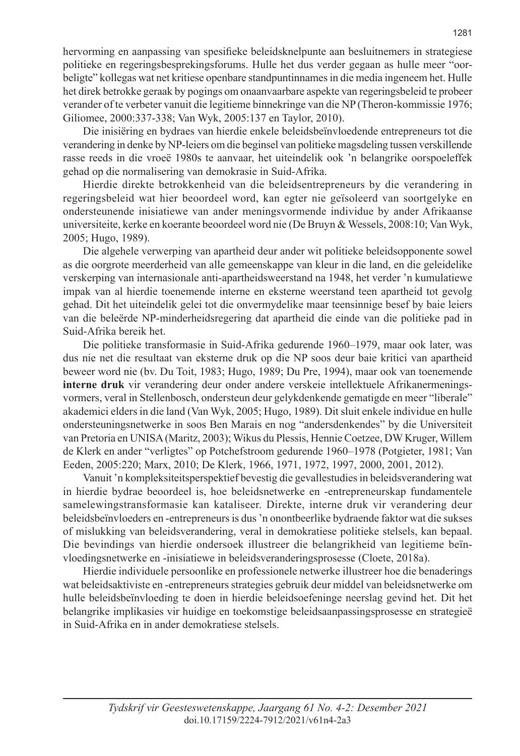hervorming en aanpassing van spesifieke beleidsknelpunte aan besluitnemers in strategiese politieke en regeringsbesprekingsforums. Hulle het dus verder gegaan as hulle meer "oorbeligte" kollegas wat net kritiese openbare standpuntinnames in die media ingeneem het. Hulle het direk betrokke geraak by pogings om onaanvaarbare aspekte van regeringsbeleid te probeer verander of te verbeter vanuit die legitieme binnekringe van die NP (Theron-kommissie 1976; Giliomee, 2000:337-338; Van Wyk, 2005:137 en Taylor, 2010).

Die inisiëring en bydraes van hierdie enkele beleidsbeïnvloedende entrepreneurs tot die verandering in denke by NP-leiers om die beginsel van politieke magsdeling tussen verskillende rasse reeds in die vroeë 1980s te aanvaar, het uiteindelik ook 'n belangrike oorspoeleffek gehad op die normalisering van demokrasie in Suid-Afrika.

Hierdie direkte betrokkenheid van die beleidsentrepreneurs by die verandering in regeringsbeleid wat hier beoordeel word, kan egter nie geïsoleerd van soortgelyke en ondersteunende inisiatiewe van ander meningsvormende individue by ander Afrikaanse universiteite, kerke en koerante beoordeel word nie (De Bruyn & Wessels, 2008:10; Van Wyk, 2005; Hugo, 1989).

Die algehele verwerping van apartheid deur ander wit politieke beleidsopponente sowel as die oorgrote meerderheid van alle gemeenskappe van kleur in die land, en die geleidelike verskerping van internasionale anti-apartheidsweerstand na 1948, het verder 'n kumulatiewe impak van al hierdie toenemende interne en eksterne weerstand teen apartheid tot gevolg gehad. Dit het uiteindelik gelei tot die onvermydelike maar teensinnige besef by baie leiers van die beleërde NP-minderheidsregering dat apartheid die einde van die politieke pad in Suid-Afrika bereik het.

Die politieke transformasie in Suid-Afrika gedurende 1960–1979, maar ook later, was dus nie net die resultaat van eksterne druk op die NP soos deur baie kritici van apartheid beweer word nie (bv. Du Toit, 1983; Hugo, 1989; Du Pre, 1994), maar ook van toenemende **interne druk** vir verandering deur onder andere verskeie intellektuele Afrikanermeningsvormers, veral in Stellenbosch, ondersteun deur gelykdenkende gematigde en meer "liberale" akademici elders in die land (Van Wyk, 2005; Hugo, 1989). Dit sluit enkele individue en hulle ondersteuningsnetwerke in soos Ben Marais en nog "andersdenkendes" by die Universiteit van Pretoria en UNISA (Maritz, 2003); Wikus du Plessis, Hennie Coetzee, DW Kruger, Willem de Klerk en ander "verligtes" op Potchefstroom gedurende 1960–1978 (Potgieter, 1981; Van Eeden, 2005:220; Marx, 2010; De Klerk, 1966, 1971, 1972, 1997, 2000, 2001, 2012).

Vanuit 'n kompleksiteitsperspektief bevestig die gevallestudies in beleidsverandering wat in hierdie bydrae beoordeel is, hoe beleidsnetwerke en -entrepreneurskap fundamentele samelewingstransformasie kan kataliseer. Direkte, interne druk vir verandering deur beleidsbeïnvloeders en -entrepreneurs is dus 'n onontbeerlike bydraende faktor wat die sukses of mislukking van beleidsverandering, veral in demokratiese politieke stelsels, kan bepaal. Die bevindings van hierdie ondersoek illustreer die belangrikheid van legitieme beïnvloedingsnetwerke en -inisiatiewe in beleidsveranderingsprosesse (Cloete, 2018a).

Hierdie individuele persoonlike en professionele netwerke illustreer hoe die benaderings wat beleidsaktiviste en -entrepreneurs strategies gebruik deur middel van beleidsnetwerke om hulle beleidsbeïnvloeding te doen in hierdie beleidsoefeninge neerslag gevind het. Dit het belangrike implikasies vir huidige en toekomstige beleidsaanpassingsprosesse en strategieë in Suid-Afrika en in ander demokratiese stelsels.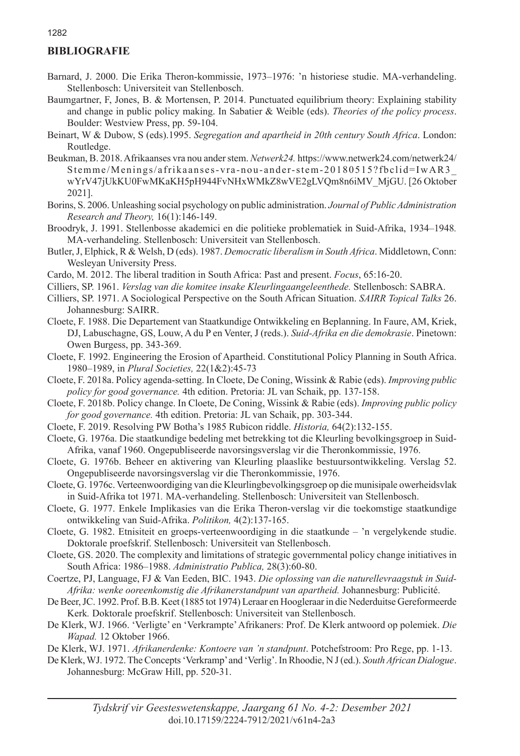# **BIBLIOGRAFIE**

- Barnard, J. 2000. Die Erika Theron-kommissie, 1973–1976: 'n historiese studie. MA-verhandeling. Stellenbosch: Universiteit van Stellenbosch.
- Baumgartner, F, Jones, B. & Mortensen, P. 2014. Punctuated equilibrium theory: Explaining stability and change in public policy making. In Sabatier & Weible (eds). *Theories of the policy process*. Boulder: Westview Press, pp. 59-104.
- Beinart, W & Dubow, S (eds).1995. *Segregation and apartheid in 20th century South Africa*. London: Routledge.
- Beukman, B. 2018. Afrikaanses vra nou ander stem. *Netwerk24.* https://www.netwerk24.com/netwerk24/ Stemme/Menings/afrikaanses-vra-nou-ander-stem-20180515?fbclid=IwAR3\_ wYrV47jUkKU0FwMKaKH5pH944FvNHxWMkZ8wVE2gLVQm8n6iMV\_MjGU. [26 Oktober 2021].
- Borins, S. 2006. Unleashing social psychology on public administration. *Journal of Public Administration Research and Theory,* 16(1):146-149.
- Broodryk, J. 1991. Stellenbosse akademici en die politieke problematiek in Suid-Afrika, 1934–1948*.*  MA-verhandeling. Stellenbosch: Universiteit van Stellenbosch.
- Butler, J, Elphick, R & Welsh, D (eds). 1987. *Democratic liberalism in South Africa*. Middletown, Conn: Wesleyan University Press.
- Cardo, M. 2012. The liberal tradition in South Africa: Past and present. *Focus*, 65:16-20.
- Cilliers, SP. 1961. *Verslag van die komitee insake Kleurlingaangeleenthede.* Stellenbosch: SABRA.
- Cilliers, SP. 1971. A Sociological Perspective on the South African Situation. *SAIRR Topical Talks* 26. Johannesburg: SAIRR.
- Cloete, F. 1988. Die Departement van Staatkundige Ontwikkeling en Beplanning. In Faure, AM, Kriek, DJ, Labuschagne, GS, Louw, A du P en Venter, J (reds.). *Suid-Afrika en die demokrasie*. Pinetown: Owen Burgess, pp. 343-369.
- Cloete, F. 1992. Engineering the Erosion of Apartheid. Constitutional Policy Planning in South Africa. 1980–1989, in *Plural Societies,* 22(1&2):45-73
- Cloete, F. 2018a. Policy agenda-setting. In Cloete, De Coning, Wissink & Rabie (eds). *Improving public policy for good governance.* 4th edition. Pretoria: JL van Schaik, pp. 137-158.
- Cloete, F. 2018b. Policy change. In Cloete, De Coning, Wissink & Rabie (eds). *Improving public policy for good governance.* 4th edition. Pretoria: JL van Schaik, pp. 303-344.
- Cloete, F. 2019. Resolving PW Botha's 1985 Rubicon riddle. *Historia,* 64(2):132-155.
- Cloete, G. 1976a. Die staatkundige bedeling met betrekking tot die Kleurling bevolkingsgroep in Suid-Afrika, vanaf 1960. Ongepubliseerde navorsingsverslag vir die Theronkommissie, 1976.
- Cloete, G. 1976b. Beheer en aktivering van Kleurling plaaslike bestuursontwikkeling. Verslag 52. Ongepubliseerde navorsingsverslag vir die Theronkommissie, 1976.
- Cloete, G. 1976c. Verteenwoordiging van die Kleurlingbevolkingsgroep op die munisipale owerheidsvlak in Suid-Afrika tot 1971*.* MA-verhandeling. Stellenbosch: Universiteit van Stellenbosch.
- Cloete, G. 1977. Enkele Implikasies van die Erika Theron-verslag vir die toekomstige staatkundige ontwikkeling van Suid-Afrika. *Politikon,* 4(2):137-165.
- Cloete, G. 1982. Etnisiteit en groeps-verteenwoordiging in die staatkunde 'n vergelykende studie. Doktorale proefskrif. Stellenbosch: Universiteit van Stellenbosch.
- Cloete, GS. 2020. The complexity and limitations of strategic governmental policy change initiatives in South Africa: 1986–1988. *Administratio Publica,* 28(3):60-80.
- Coertze, PJ, Language, FJ & Van Eeden, BIC. 1943. *Die oplossing van die naturellevraagstuk in Suid-Afrika: wenke ooreenkomstig die Afrikanerstandpunt van apartheid.* Johannesburg: Publicité.
- De Beer, JC. 1992. Prof. B.B. Keet (1885 tot 1974) Leraar en Hoogleraar in die Nederduitse Gereformeerde Kerk*.* Doktorale proefskrif. Stellenbosch: Universiteit van Stellenbosch.
- De Klerk, WJ. 1966. 'Verligte' en 'Verkrampte' Afrikaners: Prof. De Klerk antwoord op polemiek. *Die Wapad.* 12 Oktober 1966.
- De Klerk, WJ. 1971. *Afrikanerdenke: Kontoere van 'n standpunt*. Potchefstroom: Pro Rege, pp. 1-13.
- De Klerk, WJ. 1972. The Concepts 'Verkramp' and 'Verlig'. In Rhoodie, N J (ed.). *South African Dialogue*. Johannesburg: McGraw Hill, pp. 520-31.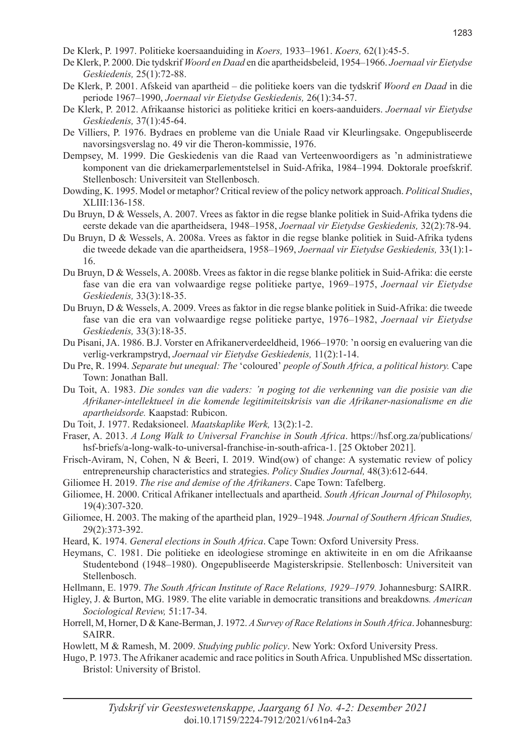De Klerk, P. 1997. Politieke koersaanduiding in *Koers,* 1933–1961. *Koers,* 62(1):45-5.

- De Klerk, P. 2000. Die tydskrif *Woord en Daad* en die apartheidsbeleid, 1954–1966. *Joernaal vir Eietydse Geskiedenis,* 25(1):72-88.
- De Klerk, P. 2001. Afskeid van apartheid die politieke koers van die tydskrif *Woord en Daad* in die periode 1967–1990, *Joernaal vir Eietydse Geskiedenis,* 26(1):34-57.
- De Klerk, P. 2012. Afrikaanse historici as politieke kritici en koers-aanduiders. *Joernaal vir Eietydse Geskiedenis,* 37(1):45-64.
- De Villiers, P. 1976. Bydraes en probleme van die Uniale Raad vir Kleurlingsake. Ongepubliseerde navorsingsverslag no. 49 vir die Theron-kommissie, 1976.
- Dempsey, M. 1999. Die Geskiedenis van die Raad van Verteenwoordigers as 'n administratiewe komponent van die driekamerparlementstelsel in Suid-Afrika, 1984–1994*.* Doktorale proefskrif. Stellenbosch: Universiteit van Stellenbosch.
- Dowding, K. 1995. Model or metaphor? Critical review of the policy network approach. *Political Studies*, XLIII:136-158.
- Du Bruyn, D & Wessels, A. 2007. Vrees as faktor in die regse blanke politiek in Suid-Afrika tydens die eerste dekade van die apartheidsera, 1948–1958, *Joernaal vir Eietydse Geskiedenis,* 32(2):78-94.
- Du Bruyn, D & Wessels, A. 2008a. Vrees as faktor in die regse blanke politiek in Suid-Afrika tydens die tweede dekade van die apartheidsera, 1958–1969, *Joernaal vir Eietydse Geskiedenis,* 33(1):1- 16.
- Du Bruyn, D & Wessels, A. 2008b. Vrees as faktor in die regse blanke politiek in Suid-Afrika: die eerste fase van die era van volwaardige regse politieke partye, 1969–1975, *Joernaal vir Eietydse Geskiedenis,* 33(3):18-35.
- Du Bruyn, D & Wessels, A. 2009. Vrees as faktor in die regse blanke politiek in Suid-Afrika: die tweede fase van die era van volwaardige regse politieke partye, 1976–1982, *Joernaal vir Eietydse Geskiedenis,* 33(3):18-35.
- Du Pisani, JA. 1986. B.J. Vorster en Afrikanerverdeeldheid, 1966–1970: 'n oorsig en evaluering van die verlig-verkrampstryd, *Joernaal vir Eietydse Geskiedenis,* 11(2):1-14.
- Du Pre, R. 1994. *Separate but unequal: The* ʻcoloured' *people of South Africa, a political history.* Cape Town: Jonathan Ball.
- Du Toit, A. 1983. *Die sondes van die vaders: 'n poging tot die verkenning van die posisie van die Afrikaner-intellektueel in die komende legitimiteitskrisis van die Afrikaner-nasionalisme en die apartheidsorde.* Kaapstad: Rubicon.
- Du Toit, J. 1977. Redaksioneel. *Maatskaplike Werk,* 13(2):1-2.
- Fraser, A. 2013. *A Long Walk to Universal Franchise in South Africa*. https://hsf.org.za/publications/ hsf-briefs/a-long-walk-to-universal-franchise-in-south-africa-1. [25 Oktober 2021].
- Frisch-Aviram, N, Cohen, N & Beeri, I. 2019. Wind(ow) of change: A systematic review of policy entrepreneurship characteristics and strategies. *Policy Studies Journal,* 48(3):612-644.
- Giliomee H. 2019. *The rise and demise of the Afrikaners*. Cape Town: Tafelberg.
- Giliomee, H. 2000. Critical Afrikaner intellectuals and apartheid. *South African Journal of Philosophy,*  19(4):307-320.
- Giliomee, H. 2003. The making of the apartheid plan, 1929–1948*. Journal of Southern African Studies,*  29(2):373-392.
- Heard, K. 1974. *General elections in South Africa*. Cape Town: Oxford University Press.
- Heymans, C. 1981. Die politieke en ideologiese strominge en aktiwiteite in en om die Afrikaanse Studentebond (1948–1980). Ongepubliseerde Magisterskripsie. Stellenbosch: Universiteit van Stellenbosch.
- Hellmann, E. 1979. *The South African Institute of Race Relations, 1929–1979.* Johannesburg: SAIRR.
- Higley, J. & Burton, MG. 1989. The elite variable in democratic transitions and breakdowns*. American Sociological Review,* 51:17-34.
- Horrell, M, Horner, D & Kane-Berman, J. 1972. *A Survey of Race Relations in South Africa*. Johannesburg: SAIRR.
- Howlett, M & Ramesh, M. 2009. *Studying public policy*. New York: Oxford University Press.
- Hugo, P. 1973. The Afrikaner academic and race politics in South Africa. Unpublished MSc dissertation. Bristol: University of Bristol.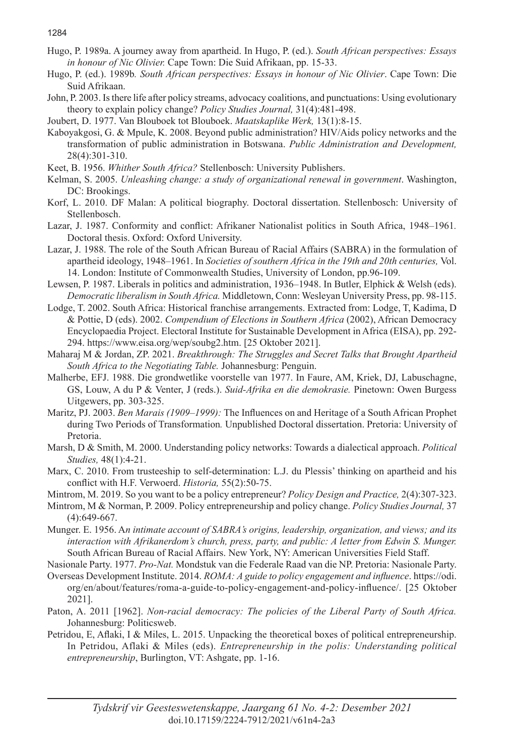- Hugo, P. 1989a. A journey away from apartheid. In Hugo, P. (ed.). *South African perspectives: Essays in honour of Nic Olivier.* Cape Town: Die Suid Afrikaan, pp. 15-33.
- Hugo, P. (ed.). 1989b*. South African perspectives: Essays in honour of Nic Olivier*. Cape Town: Die Suid Afrikaan.
- John, P. 2003. Is there life after policy streams, advocacy coalitions, and punctuations: Using evolutionary theory to explain policy change? *Policy Studies Journal,* 31(4):481-498.
- Joubert, D. 1977. Van Blouboek tot Blouboek. *Maatskaplike Werk,* 13(1):8-15.
- Kaboyakgosi, G. & Mpule, K. 2008. Beyond public administration? HIV/Aids policy networks and the transformation of public administration in Botswana. *Public Administration and Development,* 28(4):301-310.
- Keet, B. 1956. *Whither South Africa?* Stellenbosch: University Publishers.
- Kelman, S. 2005. *Unleashing change: a study of organizational renewal in government*. Washington, DC: Brookings.
- Korf, L. 2010. DF Malan: A political biography. Doctoral dissertation. Stellenbosch: University of Stellenbosch.
- Lazar, J. 1987. Conformity and conflict: Afrikaner Nationalist politics in South Africa, 1948–1961*.* Doctoral thesis. Oxford: Oxford University.
- Lazar, J. 1988. The role of the South African Bureau of Racial Affairs (SABRA) in the formulation of apartheid ideology, 1948–1961. In *Societies of southern Africa in the 19th and 20th centuries,* Vol. 14. London: Institute of Commonwealth Studies, University of London, pp.96-109.
- Lewsen, P. 1987. Liberals in politics and administration, 1936–1948. In Butler, Elphick & Welsh (eds). *Democratic liberalism in South Africa.* Middletown, Conn: Wesleyan University Press, pp. 98-115.
- Lodge, T. 2002. South Africa: Historical franchise arrangements. Extracted from: Lodge, T, Kadima, D & Pottie, D (eds). 2002. *Compendium of Elections in Southern Africa* (2002), African Democracy Encyclopaedia Project. Electoral Institute for Sustainable Development in Africa (EISA), pp. 292- 294. https://www.eisa.org/wep/soubg2.htm. [25 Oktober 2021].
- Maharaj M & Jordan, ZP. 2021. *Breakthrough: The Struggles and Secret Talks that Brought Apartheid South Africa to the Negotiating Table.* Johannesburg: Penguin.
- Malherbe, EFJ. 1988. Die grondwetlike voorstelle van 1977. In Faure, AM, Kriek, DJ, Labuschagne, GS, Louw, A du P & Venter, J (reds.). *Suid-Afrika en die demokrasie.* Pinetown: Owen Burgess Uitgewers, pp. 303-325.
- Maritz, PJ. 2003. *Ben Marais (1909–1999):* The Influences on and Heritage of a South African Prophet during Two Periods of Transformation*.* Unpublished Doctoral dissertation. Pretoria: University of Pretoria.
- Marsh, D & Smith, M. 2000. Understanding policy networks: Towards a dialectical approach. *Political Studies,* 48(1):4-21.
- Marx, C. 2010. From trusteeship to self-determination: L.J. du Plessis' thinking on apartheid and his conflict with H.F. Verwoerd. *Historia,* 55(2):50-75.
- Mintrom, M. 2019. So you want to be a policy entrepreneur? *Policy Design and Practice,* 2(4):307-323.
- Mintrom, M & Norman, P. 2009. Policy entrepreneurship and policy change. *Policy Studies Journal,* 37 (4):649-667.
- Munger. E. 1956. A*n intimate account of SABRA's origins, leadership, organization, and views; and its interaction with Afrikanerdom's church, press, party, and public: A letter from Edwin S. Munger.* South African Bureau of Racial Affairs. New York, NY: American Universities Field Staff.

Nasionale Party. 1977. *Pro-Nat.* Mondstuk van die Federale Raad van die NP. Pretoria: Nasionale Party.

- Overseas Development Institute. 2014. *ROMA: A guide to policy engagement and influence*. https://odi. org/en/about/features/roma-a-guide-to-policy-engagement-and-policy-influence/. [25 Oktober 2021].
- Paton, A. 2011 [1962]. *Non-racial democracy: The policies of the Liberal Party of South Africa.*  Johannesburg: Politicsweb.
- Petridou, E, Aflaki, I & Miles, L. 2015. Unpacking the theoretical boxes of political entrepreneurship. In Petridou, Aflaki & Miles (eds). *Entrepreneurship in the polis: Understanding political entrepreneurship*, Burlington, VT: Ashgate, pp. 1-16.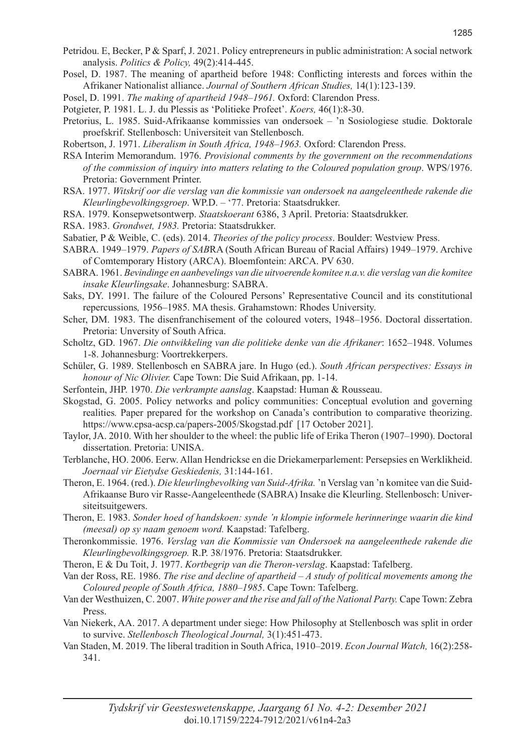- Petridou. E, Becker, P & Sparf, J. 2021. Policy entrepreneurs in public administration: A social network analysis. *Politics & Policy,* 49(2):414-445.
- Posel, D. 1987. The meaning of apartheid before 1948: Conflicting interests and forces within the Afrikaner Nationalist alliance. *Journal of Southern African Studies,* 14(1):123-139.
- Posel, D. 1991. *The making of apartheid 1948–1961.* Oxford: Clarendon Press.
- Potgieter, P. 1981. L. J. du Plessis as 'Politieke Profeet'. *Koers,* 46(1):8-30.
- Pretorius, L. 1985. Suid-Afrikaanse kommissies van ondersoek 'n Sosiologiese studie*.* Doktorale proefskrif. Stellenbosch: Universiteit van Stellenbosch.
- Robertson, J. 1971. *Liberalism in South Africa, 1948–1963.* Oxford: Clarendon Press.
- RSA Interim Memorandum. 1976. *Provisional comments by the government on the recommendations of the commission of inquiry into matters relating to the Coloured population group*. WPS/1976. Pretoria: Government Printer.
- RSA. 1977. *Witskrif oor die verslag van die kommissie van ondersoek na aangeleenthede rakende die Kleurlingbevolkingsgroep*. WP.D. – '77. Pretoria: Staatsdrukker.
- RSA. 1979. Konsepwetsontwerp. *Staatskoerant* 6386, 3 April. Pretoria: Staatsdrukker.
- RSA. 1983. *Grondwet, 1983.* Pretoria: Staatsdrukker.
- Sabatier, P & Weible, C. (eds). 2014. *Theories of the policy process*. Boulder: Westview Press.
- SABRA. 1949–1979. *Papers of SAB*RA (South African Bureau of Racial Affairs) 1949–1979. Archive of Comtemporary History (ARCA). Bloemfontein: ARCA. PV 630.
- SABRA. 1961. *Bevindinge en aanbevelings van die uitvoerende komitee n.a.v. die verslag van die komitee insake Kleurlingsake*. Johannesburg: SABRA.
- Saks, DY. 1991. The failure of the Coloured Persons' Representative Council and its constitutional repercussions*,* 1956–1985. MA thesis. Grahamstown: Rhodes University.
- Scher, DM. 1983. The disenfranchisement of the coloured voters, 1948–1956. Doctoral dissertation. Pretoria: Unversity of South Africa.
- Scholtz, GD. 1967. *Die ontwikkeling van die politieke denke van die Afrikaner*: 1652–1948. Volumes 1-8. Johannesburg: Voortrekkerpers.
- Schüler, G. 1989. Stellenbosch en SABRA jare. In Hugo (ed.). *South African perspectives: Essays in honour of Nic Olivier.* Cape Town: Die Suid Afrikaan, pp. 1-14.
- Serfontein, JHP. 1970. *Die verkrampte aanslag*. Kaapstad: Human & Rousseau.
- Skogstad, G. 2005. Policy networks and policy communities: Conceptual evolution and governing realities*.* Paper prepared for the workshop on Canada's contribution to comparative theorizing. https://www.cpsa-acsp.ca/papers-2005/Skogstad.pdf [17 October 2021].
- Taylor, JA. 2010. With her shoulder to the wheel: the public life of Erika Theron (1907–1990). Doctoral dissertation. Pretoria: UNISA.
- Terblanche, HO. 2006. Eerw. Allan Hendrickse en die Driekamerparlement: Persepsies en Werklikheid. *Joernaal vir Eietydse Geskiedenis,* 31:144-161.
- Theron, E. 1964. (red.). *Die kleurlingbevolking van Suid-Afrika.* 'n Verslag van 'n komitee van die Suid-Afrikaanse Buro vir Rasse-Aangeleenthede (SABRA) Insake die Kleurling. Stellenbosch: Universiteitsuitgewers.
- Theron, E. 1983. *Sonder hoed of handskoen: synde 'n klompie informele herinneringe waarin die kind (meesal) op sy naam genoem word.* Kaapstad: Tafelberg.
- Theronkommissie. 1976. *Verslag van die Kommissie van Ondersoek na aangeleenthede rakende die Kleurlingbevolkingsgroep.* R.P. 38/1976. Pretoria: Staatsdrukker.
- Theron, E & Du Toit, J. 1977. *Kortbegrip van die Theron-verslag*. Kaapstad: Tafelberg.
- Van der Ross, RE. 1986. *The rise and decline of apartheid A study of political movements among the Coloured people of South Africa, 1880–1985*. Cape Town: Tafelberg.
- Van der Westhuizen, C. 2007. *White power and the rise and fall of the National Party.* Cape Town: Zebra Press.
- Van Niekerk, AA. 2017. A department under siege: How Philosophy at Stellenbosch was split in order to survive. *Stellenbosch Theological Journal,* 3(1):451-473.
- Van Staden, M. 2019. The liberal tradition in South Africa, 1910–2019. *Econ Journal Watch,* 16(2):258- 341.